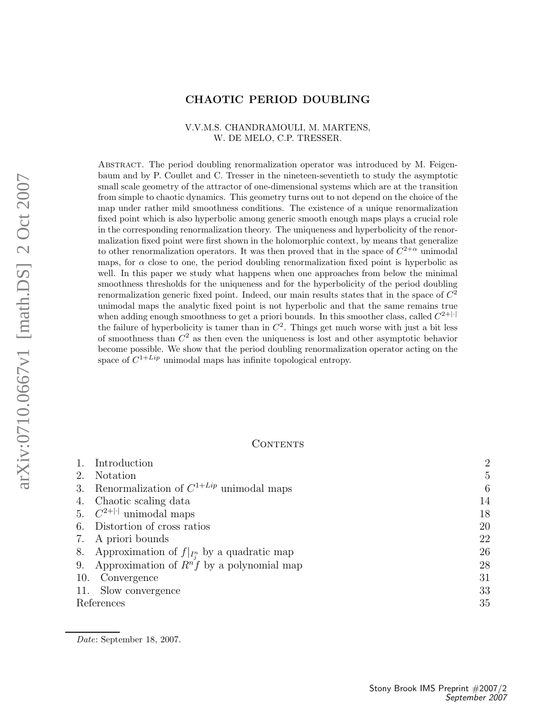### CHAOTIC PERIOD DOUBLING

### V.V.M.S. CHANDRAMOULI, M. MARTENS, W. DE MELO, C.P. TRESSER.

Abstract. The period doubling renormalization operator was introduced by M. Feigenbaum and by P. Coullet and C. Tresser in the nineteen-seventieth to study the asymptotic small scale geometry of the attractor of one-dimensional systems which are at the transition from simple to chaotic dynamics. This geometry turns out to not depend on the choice of the map under rather mild smoothness conditions. The existence of a unique renormalization fixed point which is also hyperbolic among generic smooth enough maps plays a crucial role in the corresponding renormalization theory. The uniqueness and hyperbolicity of the renormalization fixed point were first shown in the holomorphic context, by means that generalize to other renormalization operators. It was then proved that in the space of  $C^{2+\alpha}$  unimodal maps, for  $\alpha$  close to one, the period doubling renormalization fixed point is hyperbolic as well. In this paper we study what happens when one approaches from below the minimal smoothness thresholds for the uniqueness and for the hyperbolicity of the period doubling renormalization generic fixed point. Indeed, our main results states that in the space of  $C^2$ unimodal maps the analytic fixed point is not hyperbolic and that the same remains true when adding enough smoothness to get a priori bounds. In this smoother class, called  $C^{2+|\cdot|}$ the failure of hyperbolicity is tamer than in  $C^2$ . Things get much worse with just a bit less of smoothness than  $C^2$  as then even the uniqueness is lost and other asymptotic behavior become possible. We show that the period doubling renormalization operator acting on the space of  $C^{1+Lip}$  unimodal maps has infinite topological entropy.

### **CONTENTS**

|            | Introduction                                     | $\overline{2}$ |
|------------|--------------------------------------------------|----------------|
| 2.         | <b>Notation</b>                                  | 5              |
| 3.         | Renormalization of $C^{1+Lip}$ unimodal maps     | 6              |
| 4.         | Chaotic scaling data                             | 14             |
|            | 5. $C^{2+ \cdot }$ unimodal maps                 | 18             |
|            | 6. Distortion of cross ratios                    | 20             |
|            | 7. A priori bounds                               | 22             |
| 8.         | Approximation of $f _{I_i^n}$ by a quadratic map | 26             |
| 9.         | Approximation of $R^n f$ by a polynomial map     | 28             |
| 10.        | Convergence                                      | 31             |
|            | 11. Slow convergence                             | 33             |
| References |                                                  | 35             |

Date: September 18, 2007.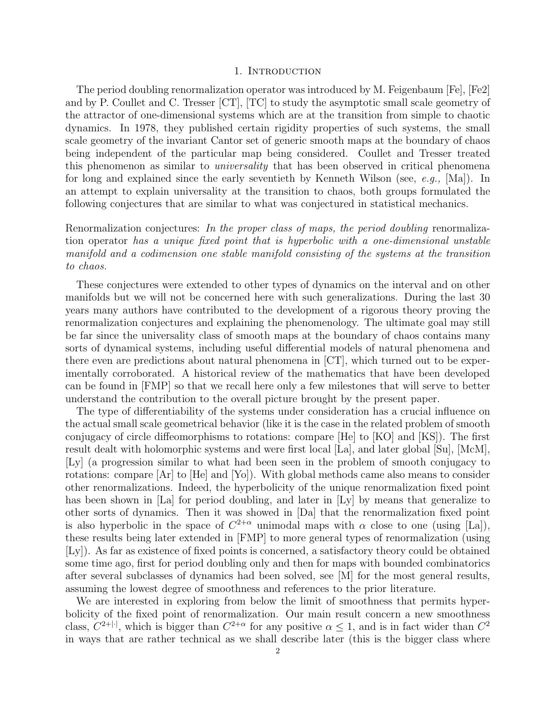### 1. INTRODUCTION

The period doubling renormalization operator was introduced by M. Feigenbaum [Fe], [Fe2] and by P. Coullet and C. Tresser [CT], [TC] to study the asymptotic small scale geometry of the attractor of one-dimensional systems which are at the transition from simple to chaotic dynamics. In 1978, they published certain rigidity properties of such systems, the small scale geometry of the invariant Cantor set of generic smooth maps at the boundary of chaos being independent of the particular map being considered. Coullet and Tresser treated this phenomenon as similar to *universality* that has been observed in critical phenomena for long and explained since the early seventieth by Kenneth Wilson (see,  $e, q, \text{[Ma]}$ ). In an attempt to explain universality at the transition to chaos, both groups formulated the following conjectures that are similar to what was conjectured in statistical mechanics.

Renormalization conjectures: In the proper class of maps, the period doubling renormalization operator has a unique fixed point that is hyperbolic with a one-dimensional unstable manifold and a codimension one stable manifold consisting of the systems at the transition to chaos.

These conjectures were extended to other types of dynamics on the interval and on other manifolds but we will not be concerned here with such generalizations. During the last 30 years many authors have contributed to the development of a rigorous theory proving the renormalization conjectures and explaining the phenomenology. The ultimate goal may still be far since the universality class of smooth maps at the boundary of chaos contains many sorts of dynamical systems, including useful differential models of natural phenomena and there even are predictions about natural phenomena in [CT], which turned out to be experimentally corroborated. A historical review of the mathematics that have been developed can be found in [FMP] so that we recall here only a few milestones that will serve to better understand the contribution to the overall picture brought by the present paper.

The type of differentiability of the systems under consideration has a crucial influence on the actual small scale geometrical behavior (like it is the case in the related problem of smooth conjugacy of circle diffeomorphisms to rotations: compare [He] to [KO] and [KS]). The first result dealt with holomorphic systems and were first local [La], and later global [Su], [McM], [Ly] (a progression similar to what had been seen in the problem of smooth conjugacy to rotations: compare [Ar] to [He] and [Yo]). With global methods came also means to consider other renormalizations. Indeed, the hyperbolicity of the unique renormalization fixed point has been shown in [La] for period doubling, and later in [Ly] by means that generalize to other sorts of dynamics. Then it was showed in [Da] that the renormalization fixed point is also hyperbolic in the space of  $C^{2+\alpha}$  unimodal maps with  $\alpha$  close to one (using [La]), these results being later extended in [FMP] to more general types of renormalization (using [Ly]). As far as existence of fixed points is concerned, a satisfactory theory could be obtained some time ago, first for period doubling only and then for maps with bounded combinatorics after several subclasses of dynamics had been solved, see [M] for the most general results, assuming the lowest degree of smoothness and references to the prior literature.

We are interested in exploring from below the limit of smoothness that permits hyperbolicity of the fixed point of renormalization. Our main result concern a new smoothness class,  $C^{2+|\cdot|}$ , which is bigger than  $C^{2+\alpha}$  for any positive  $\alpha \leq 1$ , and is in fact wider than  $C^2$ in ways that are rather technical as we shall describe later (this is the bigger class where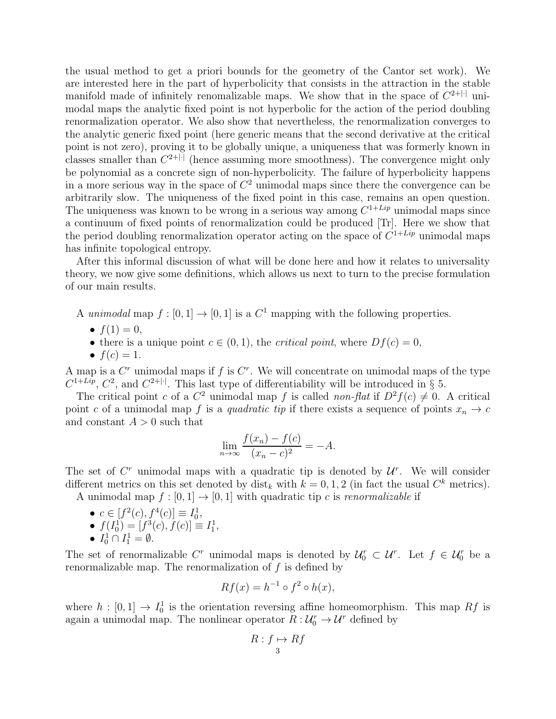the usual method to get a priori bounds for the geometry of the Cantor set work). We are interested here in the part of hyperbolicity that consists in the attraction in the stable manifold made of infinitely renomalizable maps. We show that in the space of  $C^{2+|\cdot|}$  unimodal maps the analytic fixed point is not hyperbolic for the action of the period doubling renormalization operator. We also show that nevertheless, the renormalization converges to the analytic generic fixed point (here generic means that the second derivative at the critical point is not zero), proving it to be globally unique, a uniqueness that was formerly known in classes smaller than  $C^{2+|\cdot|}$  (hence assuming more smoothness). The convergence might only be polynomial as a concrete sign of non-hyperbolicity. The failure of hyperbolicity happens in a more serious way in the space of  $C<sup>2</sup>$  unimodal maps since there the convergence can be arbitrarily slow. The uniqueness of the fixed point in this case, remains an open question. The uniqueness was known to be wrong in a serious way among  $C^{1+Lip}$  unimodal maps since a continuum of fixed points of renormalization could be produced [Tr]. Here we show that the period doubling renormalization operator acting on the space of  $C^{1+Lip}$  unimodal maps has infinite topological entropy.

After this informal discussion of what will be done here and how it relates to universality theory, we now give some definitions, which allows us next to turn to the precise formulation of our main results.

- A unimodal map  $f : [0, 1] \to [0, 1]$  is a  $C<sup>1</sup>$  mapping with the following properties.
	- $f(1) = 0$ ,
	- there is a unique point  $c \in (0, 1)$ , the *critical point*, where  $Df(c) = 0$ ,
	- $f(c) = 1$ .

A map is a  $C<sup>r</sup>$  unimodal maps if f is  $C<sup>r</sup>$ . We will concentrate on unimodal maps of the type  $C^{1+Lip}$ ,  $C^2$ , and  $C^{2+|\cdot|}$ . This last type of differentiability will be introduced in § 5.

The critical point c of a  $C^2$  unimodal map f is called non-flat if  $D^2f(c) \neq 0$ . A critical point c of a unimodal map f is a quadratic tip if there exists a sequence of points  $x_n \to c$ and constant  $A > 0$  such that

$$
\lim_{n \to \infty} \frac{f(x_n) - f(c)}{(x_n - c)^2} = -A.
$$

The set of  $C^r$  unimodal maps with a quadratic tip is denoted by  $\mathcal{U}^r$ . We will consider different metrics on this set denoted by  $dist_k$  with  $k = 0, 1, 2$  (in fact the usual  $C^k$  metrics).

A unimodal map  $f : [0, 1] \rightarrow [0, 1]$  with quadratic tip c is renormalizable if

•  $c \in [f^2(c), f^4(c)] \equiv I_0^1$ , •  $f(I_0^1) = [f^3(c), f(c)] \equiv I_1^1$ , •  $I_0^1 \cap I_1^1 = \emptyset$ .

The set of renormalizable  $C^r$  unimodal maps is denoted by  $\mathcal{U}_0^r \subset \mathcal{U}^r$ . Let  $f \in \mathcal{U}_0^r$  be a renormalizable map. The renormalization of  $f$  is defined by

$$
Rf(x) = h^{-1} \circ f^2 \circ h(x),
$$

where  $h : [0,1] \to I_0^1$  is the orientation reversing affine homeomorphism. This map Rf is again a unimodal map. The nonlinear operator  $R: \mathcal{U}_0^r \to \mathcal{U}^r$  defined by

$$
R: f \mapsto Rf
$$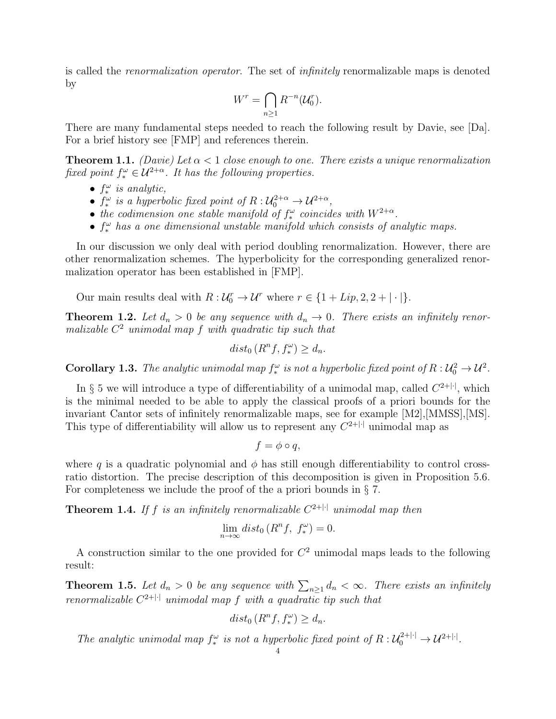is called the renormalization operator. The set of infinitely renormalizable maps is denoted by

$$
W^r = \bigcap_{n\geq 1} R^{-n}(\mathcal{U}_0^r).
$$

There are many fundamental steps needed to reach the following result by Davie, see [Da]. For a brief history see [FMP] and references therein.

**Theorem 1.1.** (Davie) Let  $\alpha < 1$  close enough to one. There exists a unique renormalization fixed point  $f_*^{\omega} \in \mathcal{U}^{2+\alpha}$ . It has the following properties.

- $f_*^{\omega}$  is analytic,
- $f_*^{\omega}$  is a hyperbolic fixed point of  $R: \mathcal{U}_0^{2+\alpha} \to \mathcal{U}^{2+\alpha}$ ,
- the codimension one stable manifold of  $f_*^{\omega}$  coincides with  $W^{2+\alpha}$ .
- $f_*^{\omega}$  has a one dimensional unstable manifold which consists of analytic maps.

In our discussion we only deal with period doubling renormalization. However, there are other renormalization schemes. The hyperbolicity for the corresponding generalized renormalization operator has been established in [FMP].

Our main results deal with  $R: \mathcal{U}_0^r \to \mathcal{U}^r$  where  $r \in \{1 + Lip, 2, 2 + |\cdot|\}.$ 

**Theorem 1.2.** Let  $d_n > 0$  be any sequence with  $d_n \to 0$ . There exists an infinitely renormalizable  $C^2$  unimodal map f with quadratic tip such that

$$
dist_0(R^n f, f_*^{\omega}) \ge d_n.
$$

**Corollary 1.3.** The analytic unimodal map  $f_*^{\omega}$  is not a hyperbolic fixed point of  $R : U_0^2 \to U^2$ .

In § 5 we will introduce a type of differentiability of a unimodal map, called  $C^{2+|\cdot|}$ , which is the minimal needed to be able to apply the classical proofs of a priori bounds for the invariant Cantor sets of infinitely renormalizable maps, see for example [M2],[MMSS],[MS]. This type of differentiability will allow us to represent any  $C^{2+|\cdot|}$  unimodal map as

$$
f = \phi \circ q,
$$

where q is a quadratic polynomial and  $\phi$  has still enough differentiability to control crossratio distortion. The precise description of this decomposition is given in Proposition 5.6. For completeness we include the proof of the a priori bounds in § 7.

**Theorem 1.4.** If f is an infinitely renormalizable  $C^{2+|\cdot|}$  unimodal map then

$$
\lim_{n \to \infty} dist_0(R^n f, f_*^{\omega}) = 0.
$$

A construction similar to the one provided for  $C<sup>2</sup>$  unimodal maps leads to the following result:

**Theorem 1.5.** Let  $d_n > 0$  be any sequence with  $\sum_{n\geq 1} d_n < \infty$ . There exists an infinitely renormalizable  $C^{2+|\cdot|}$  unimodal map f with a quadratic tip such that

$$
dist_0(R^n f, f_*^{\omega}) \ge d_n.
$$

The analytic unimodal map  $f_*^{\omega}$  is not a hyperbolic fixed point of  $R : U_0^{2+|\cdot|} \to U^{2+|\cdot|}$ .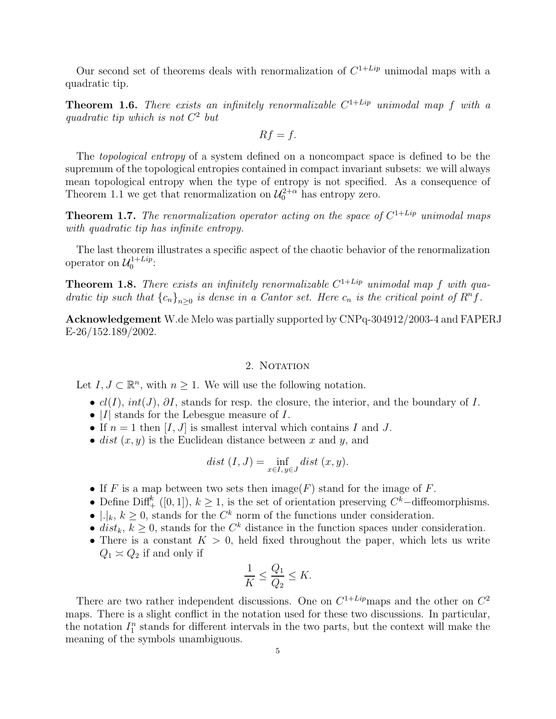Our second set of theorems deals with renormalization of  $C^{1+Lip}$  unimodal maps with a quadratic tip.

**Theorem 1.6.** There exists an infinitely renormalizable  $C^{1+Lip}$  unimodal map f with a quadratic tip which is not  $C^2$  but

$$
Rf=f.
$$

The topological entropy of a system defined on a noncompact space is defined to be the supremum of the topological entropies contained in compact invariant subsets: we will always mean topological entropy when the type of entropy is not specified. As a consequence of Theorem 1.1 we get that renormalization on  $\mathcal{U}_0^{2+\alpha}$  has entropy zero.

**Theorem 1.7.** The renormalization operator acting on the space of  $C^{1+Lip}$  unimodal maps with quadratic tip has infinite entropy.

The last theorem illustrates a specific aspect of the chaotic behavior of the renormalization operator on  $\mathcal{U}_0^{1+Lip}$  $0^{1+Lip}$ :

**Theorem 1.8.** There exists an infinitely renormalizable  $C^{1+Lip}$  unimodal map f with quadratic tip such that  ${c_n}_{n\geq 0}$  is dense in a Cantor set. Here  $c_n$  is the critical point of  $R^n f$ .

Acknowledgement W.de Melo was partially supported by CNPq-304912/2003-4 and FAPERJ E-26/152.189/2002.

### 2. NOTATION

Let  $I, J \subset \mathbb{R}^n$ , with  $n \geq 1$ . We will use the following notation.

- $cl(I)$ ,  $int(J)$ ,  $\partial I$ , stands for resp. the closure, the interior, and the boundary of I.
- $|I|$  stands for the Lebesgue measure of I.
- If  $n = 1$  then  $[I, J]$  is smallest interval which contains I and J.
- dist  $(x, y)$  is the Euclidean distance between x and y, and

$$
dist (I, J) = \inf_{x \in I, y \in J} dist (x, y).
$$

- If F is a map between two sets then  $\text{image}(F)$  stand for the image of F.
- Define Diff<sup>k</sup> ([0, 1]),  $k \geq 1$ , is the set of orientation preserving  $C^k$ -diffeomorphisms.
- | $\lfloor k, k \geq 0$ , stands for the  $C^k$  norm of the functions under consideration.
- dist<sub>k</sub>,  $k \geq 0$ , stands for the  $C<sup>k</sup>$  distance in the function spaces under consideration.
- There is a constant  $K > 0$ , held fixed throughout the paper, which lets us write  $Q_1 \approx Q_2$  if and only if

$$
\frac{1}{K} \le \frac{Q_1}{Q_2} \le K.
$$

There are two rather independent discussions. One on  $C^{1+Lip}$  maps and the other on  $C^2$ maps. There is a slight conflict in the notation used for these two discussions. In particular, the notation  $I_1^n$  stands for different intervals in the two parts, but the context will make the meaning of the symbols unambiguous.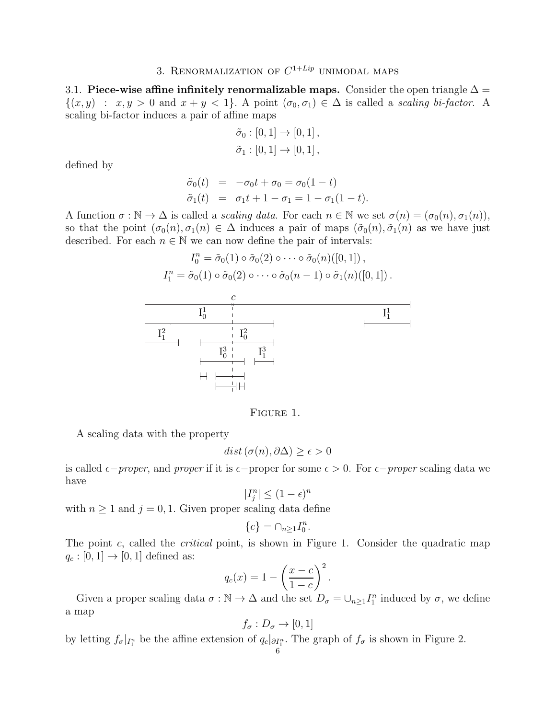## 3. RENORMALIZATION OF  $C^{1+Lip}$  unimodal maps

3.1. Piece-wise affine infinitely renormalizable maps. Consider the open triangle  $\Delta =$  $\{(x,y) : x,y > 0 \text{ and } x+y < 1\}.$  A point  $(\sigma_0, \sigma_1) \in \Delta$  is called a scaling bi-factor. A scaling bi-factor induces a pair of affine maps

$$
\tilde{\sigma}_0 : [0, 1] \to [0, 1], \n\tilde{\sigma}_1 : [0, 1] \to [0, 1],
$$

defined by

$$
\begin{array}{rcl}\n\tilde{\sigma}_0(t) & = & -\sigma_0 t + \sigma_0 = \sigma_0 (1 - t) \\
\tilde{\sigma}_1(t) & = & \sigma_1 t + 1 - \sigma_1 = 1 - \sigma_1 (1 - t).\n\end{array}
$$

A function  $\sigma : \mathbb{N} \to \Delta$  is called a *scaling data*. For each  $n \in \mathbb{N}$  we set  $\sigma(n) = (\sigma_0(n), \sigma_1(n)),$ so that the point  $(\sigma_0(n), \sigma_1(n) \in \Delta$  induces a pair of maps  $(\tilde{\sigma}_0(n), \tilde{\sigma}_1(n)$  as we have just described. For each  $n \in \mathbb{N}$  we can now define the pair of intervals:

$$
I_0^n = \tilde{\sigma}_0(1) \circ \tilde{\sigma}_0(2) \circ \cdots \circ \tilde{\sigma}_0(n) ([0, 1]),
$$
  

$$
I_1^n = \tilde{\sigma}_0(1) \circ \tilde{\sigma}_0(2) \circ \cdots \circ \tilde{\sigma}_0(n-1) \circ \tilde{\sigma}_1(n) ([0, 1]).
$$



FIGURE 1.

A scaling data with the property

$$
dist\left(\sigma(n),\partial\Delta\right)\geq\epsilon>0
$$

is called  $\epsilon$ −proper, and proper if it is  $\epsilon$ −proper for some  $\epsilon > 0$ . For  $\epsilon$ −proper scaling data we have

$$
|I_j^n| \le (1 - \epsilon)^n
$$

with  $n \geq 1$  and  $j = 0, 1$ . Given proper scaling data define

$$
\{c\} = \cap_{n \ge 1} I_0^n.
$$

The point c, called the *critical* point, is shown in Figure 1. Consider the quadratic map  $q_c : [0, 1] \rightarrow [0, 1]$  defined as:

$$
q_c(x) = 1 - \left(\frac{x-c}{1-c}\right)^2.
$$

Given a proper scaling data  $\sigma : \mathbb{N} \to \Delta$  and the set  $D_{\sigma} = \cup_{n \geq 1} I_1^n$  induced by  $\sigma$ , we define a map

$$
f_{\sigma}: D_{\sigma} \to [0,1]
$$

by letting  $f_{\sigma}|_{I_1^n}$  be the affine extension of  $q_c|_{\partial I_1^n}$ . The graph of  $f_{\sigma}$  is shown in Figure 2.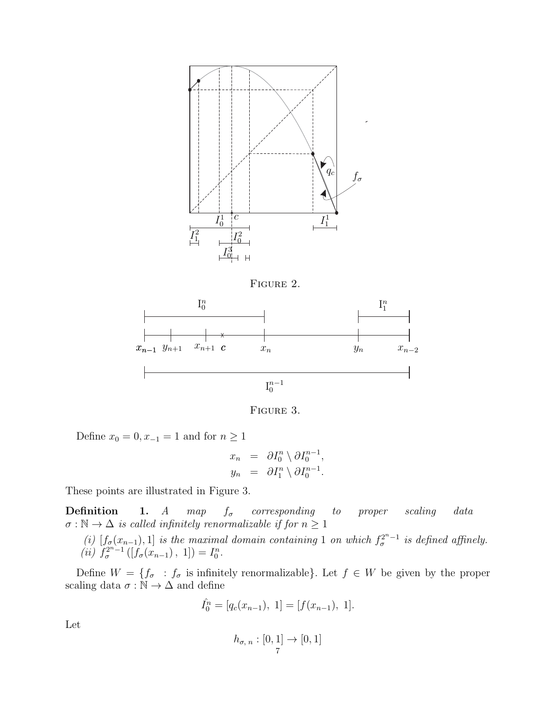





FIGURE 3.

Define  $x_0 = 0, x_{-1} = 1$  and for  $n \ge 1$ 

$$
x_n = \partial I_0^n \setminus \partial I_0^{n-1},
$$
  

$$
y_n = \partial I_1^n \setminus \partial I_0^{n-1}.
$$

These points are illustrated in Figure 3.

**Definition** 1. A map  $f_{\sigma}$  corresponding to proper scaling data  $\sigma : \mathbb{N} \to \Delta$  is called infinitely renormalizable if for  $n \geq 1$ 

(i)  $[f_{\sigma}(x_{n-1}),1]$  is the maximal domain containing 1 on which  $f_{\sigma}^{2^{n}-1}$  is defined affinely. (*ii*)  $f_{\sigma}^{2^{n}-1}([f_{\sigma}(x_{n-1}), 1]) = I_{0}^{n}$ .

Define  $W = \{f_{\sigma} : f_{\sigma}$  is infinitely renormalizable}. Let  $f \in W$  be given by the proper scaling data  $\sigma : \mathbb{N} \to \Delta$  and define

$$
\hat{I}_0^n = [q_c(x_{n-1}), 1] = [f(x_{n-1}), 1].
$$

Let

$$
h_{\sigma,\;n}:[0,1]\to[0,1]
$$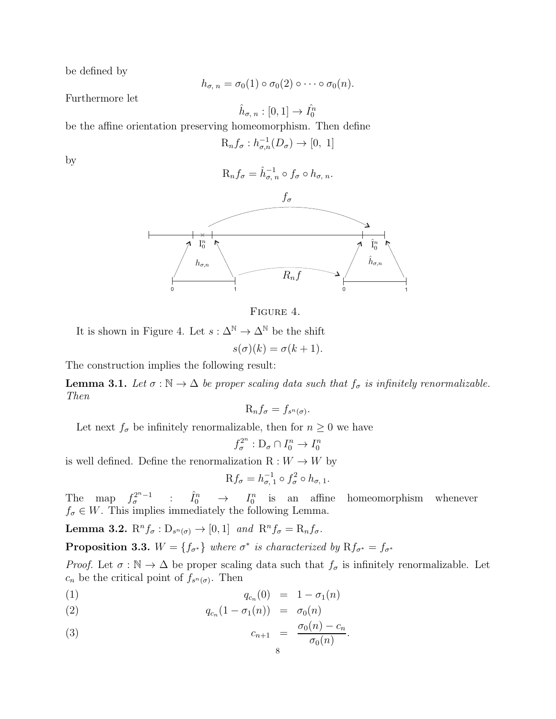be defined by

$$
h_{\sigma, n} = \sigma_0(1) \circ \sigma_0(2) \circ \cdots \circ \sigma_0(n).
$$

Furthermore let

 $\hat{h}_{\sigma,\;n}:[0,1]\to\hat{I_0^n}$ 

be the affine orientation preserving homeomorphism. Then define

$$
\mathcal{R}_n f_\sigma : h_{\sigma,n}^{-1}(D_\sigma) \to [0, 1]
$$

by

$$
R_nf_{\sigma} = \hat{h}_{\sigma,n}^{-1} \circ f_{\sigma} \circ h_{\sigma,n}.
$$



FIGURE 4.

It is shown in Figure 4. Let  $s : \Delta^{\mathbb{N}} \to \Delta^{\mathbb{N}}$  be the shift

$$
s(\sigma)(k) = \sigma(k+1).
$$

The construction implies the following result:

**Lemma 3.1.** Let  $\sigma : \mathbb{N} \to \Delta$  be proper scaling data such that  $f_{\sigma}$  is infinitely renormalizable. Then

$$
\mathrm{R}_n f_\sigma = f_{s^n(\sigma)}.
$$

Let next  $f_{\sigma}$  be infinitely renormalizable, then for  $n \geq 0$  we have

$$
f_{\sigma}^{2^n}: \mathcal{D}_{\sigma} \cap I_0^n \to I_0^n
$$

is well defined. Define the renormalization  $R: W \to W$  by

$$
Rf_{\sigma} = h_{\sigma, 1}^{-1} \circ f_{\sigma}^{2} \circ h_{\sigma, 1}.
$$

The map  $f_{\sigma}^{2^{n}-1}$  :  $\hat{I}_{0}^{n} \rightarrow I_{0}^{n}$  is an affine homeomorphism whenever  $f_{\sigma} \in W$ . This implies immediately the following Lemma.

**Lemma 3.2.**  $\mathrm{R}^n f_{\sigma} : \mathrm{D}_{s^n(\sigma)} \to [0,1]$  and  $\mathrm{R}^n f_{\sigma} = \mathrm{R}_n f_{\sigma}$ .

**Proposition 3.3.**  $W = \{f_{\sigma^*}\}\$  where  $\sigma^*$  is characterized by  $Rf_{\sigma^*} = f_{\sigma^*}$ 

*Proof.* Let  $\sigma : \mathbb{N} \to \Delta$  be proper scaling data such that  $f_{\sigma}$  is infinitely renormalizable. Let  $c_n$  be the critical point of  $f_{s^n(\sigma)}$ . Then

(1)  $q_{c_n}(0) = 1 - \sigma_1(n)$ 

(2) 
$$
q_{c_n}(1 - \sigma_1(n)) = \sigma_0(n)
$$

(3) 
$$
c_{n+1} = \frac{\sigma_0(n) - c_n}{\sigma_0(n)}.
$$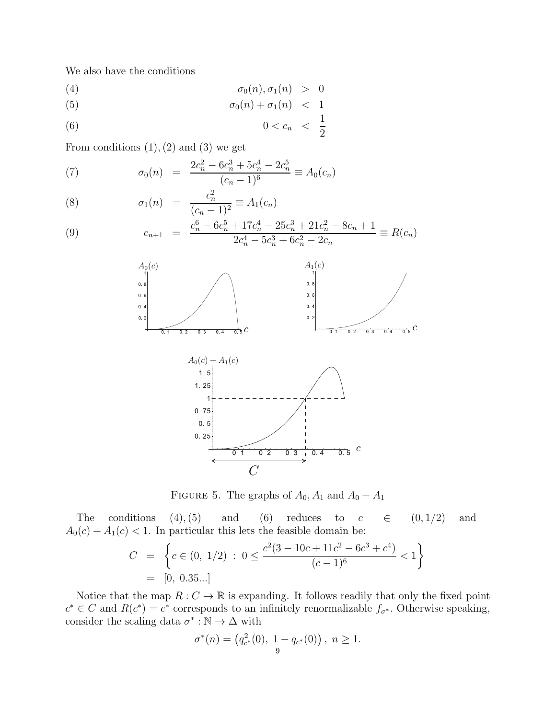We also have the conditions

$$
\sigma_0(n), \sigma_1(n) > 0
$$

$$
\sigma_0(n) + \sigma_1(n) < 1
$$

$$
(6) \t\t\t 0 < c_n < \frac{1}{2}
$$

From conditions  $(1), (2)$  and  $(3)$  we get

(7) 
$$
\sigma_0(n) = \frac{2c_n^2 - 6c_n^3 + 5c_n^4 - 2c_n^5}{(c_n - 1)^6} \equiv A_0(c_n)
$$

(8) 
$$
\sigma_1(n) = \frac{c_n^2}{(c_n - 1)^2} \equiv A_1(c_n)
$$

(9) 
$$
c_{n+1} = \frac{c_n^6 - 6c_n^5 + 17c_n^4 - 25c_n^3 + 21c_n^2 - 8c_n + 1}{2c_n^4 - 5c_n^3 + 6c_n^2 - 2c_n} \equiv R(c_n)
$$



FIGURE 5. The graphs of  $A_0$ ,  $A_1$  and  $A_0 + A_1$ 

The conditions  $(4)$ ,  $(5)$  and  $(6)$  reduces to  $c \in (0, 1/2)$  and  $A_0(c) + A_1(c) < 1$ . In particular this lets the feasible domain be:

$$
C = \left\{ c \in (0, 1/2) : 0 \le \frac{c^2(3 - 10c + 11c^2 - 6c^3 + c^4)}{(c - 1)^6} < 1 \right\}
$$
  
= [0, 0.35...]

Notice that the map  $R: C \to \mathbb{R}$  is expanding. It follows readily that only the fixed point  $c^* \in C$  and  $R(c^*) = c^*$  corresponds to an infinitely renormalizable  $f_{\sigma^*}$ . Otherwise speaking, consider the scaling data  $\sigma^* : \mathbb{N} \to \Delta$  with

$$
\sigma^*(n) = (q_{c^*}^2(0), \ 1 - q_{c^*}(0)), \ n \ge 1.
$$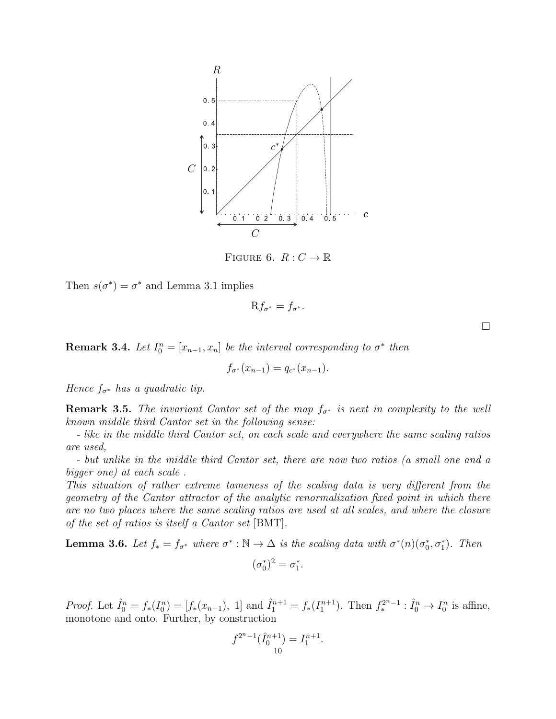

FIGURE 6.  $R: C \to \mathbb{R}$ 

Then  $s(\sigma^*) = \sigma^*$  and Lemma 3.1 implies

$$
Rf_{\sigma^*}=f_{\sigma^*}.
$$

**Remark 3.4.** Let  $I_0^n = [x_{n-1}, x_n]$  be the interval corresponding to  $\sigma^*$  then

$$
f_{\sigma^*}(x_{n-1}) = q_{c^*}(x_{n-1}).
$$

Hence  $f_{\sigma^*}$  has a quadratic tip.

**Remark 3.5.** The invariant Cantor set of the map  $f_{\sigma^*}$  is next in complexity to the well known middle third Cantor set in the following sense:

- like in the middle third Cantor set, on each scale and everywhere the same scaling ratios are used,

- but unlike in the middle third Cantor set, there are now two ratios (a small one and a bigger one) at each scale .

This situation of rather extreme tameness of the scaling data is very different from the geometry of the Cantor attractor of the analytic renormalization fixed point in which there are no two places where the same scaling ratios are used at all scales, and where the closure of the set of ratios is itself a Cantor set [BMT].

**Lemma 3.6.** Let  $f_* = f_{\sigma^*}$  where  $\sigma^* : \mathbb{N} \to \Delta$  is the scaling data with  $\sigma^*(n)(\sigma_0^*, \sigma_1^*)$ . Then

$$
(\sigma_0^*)^2 = \sigma_1^*.
$$

*Proof.* Let  $\hat{I}_0^n = f_*(I_0^n) = [f_*(x_{n-1}), 1]$  and  $\hat{I}_1^{n+1} = f_*(I_1^{n+1})$ . Then  $f_*^{2^{n}-1} : \hat{I}_0^n \to I_0^n$  is affine, monotone and onto. Further, by construction

$$
f^{2^{n}-1}(\hat{I}_0^{n+1}) = I_1^{n+1}.
$$

 $\Box$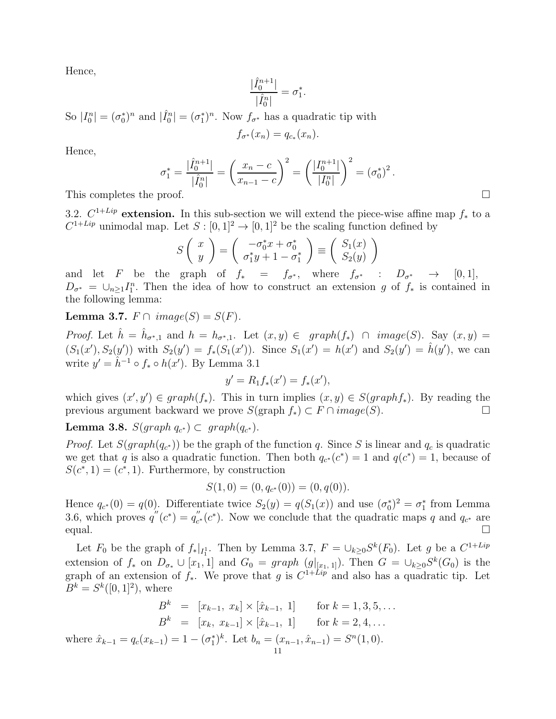Hence,

$$
\frac{|\hat{I}_0^{n+1}|}{|\hat{I}_0^n|} = \sigma_1^*
$$

So  $|I_0^n| = (\sigma_0^*)^n$  and  $|\hat{I}_0^n| = (\sigma_1^*)^n$ . Now  $f_{\sigma^*}$  has a quadratic tip with

$$
f_{\sigma^*}(x_n) = q_{c_*}(x_n).
$$

Hence,

$$
\sigma_1^* = \frac{|\hat{I}_0^{n+1}|}{|\hat{I}_0^n|} = \left(\frac{x_n - c}{x_{n-1} - c}\right)^2 = \left(\frac{|I_0^{n+1}|}{|I_0^n|}\right)^2 = (\sigma_0^*)^2.
$$
\nThis completes the proof.

.

3.2.  $C^{1+Lip}$  extension. In this sub-section we will extend the piece-wise affine map  $f_*$  to a  $C^{1+Lip}$  unimodal map. Let  $S: [0,1]^2 \to [0,1]^2$  be the scaling function defined by

$$
S\left(\begin{array}{c} x \\ y \end{array}\right) = \left(\begin{array}{c} -\sigma_0^* x + \sigma_0^* \\ \sigma_1^* y + 1 - \sigma_1^* \end{array}\right) \equiv \left(\begin{array}{c} S_1(x) \\ S_2(y) \end{array}\right)
$$

and let F be the graph of  $f_* = f_{\sigma^*}$ , where  $f_{\sigma^*} : D_{\sigma^*} \to [0,1],$  $D_{\sigma^*} = \bigcup_{n\geq 1} I_1^n$ . Then the idea of how to construct an extension g of  $f_*$  is contained in the following lemma:

Lemma 3.7.  $F \cap image(S) = S(F)$ .

*Proof.* Let  $\hat{h} = \hat{h}_{\sigma^*,1}$  and  $h = h_{\sigma^*,1}$ . Let  $(x, y) \in graph(f_*) \cap image(S)$ . Say  $(x, y) =$  $(S_1(x'), S_2(y'))$  with  $S_2(y') = f_*(S_1(x'))$ . Since  $S_1(x') = h(x')$  and  $S_2(y') = \hat{h}(y')$ , we can write  $y' = \hat{h}^{-1} \circ f_* \circ h(x')$ . By Lemma 3.1

$$
y' = R_1 f_*(x') = f_*(x'),
$$

which gives  $(x', y') \in graph(f_*)$ . This in turn implies  $(x, y) \in S(graph f_*)$ . By reading the previous argument backward we prove  $S(\text{graph } f_*) \subset F \cap image(S)$ .

Lemma 3.8.  $S(graph\ q_{c^*}) \subset graph(q_{c^*}).$ 

*Proof.* Let  $S(graph(q_{c^*}))$  be the graph of the function q. Since S is linear and  $q_c$  is quadratic we get that q is also a quadratic function. Then both  $q_{c^*}(c^*) = 1$  and  $q(c^*) = 1$ , because of  $S(c^*, 1) = (c^*, 1)$ . Furthermore, by construction

$$
S(1,0) = (0, q_{c^*}(0)) = (0, q(0)).
$$

Hence  $q_{c^*}(0) = q(0)$ . Differentiate twice  $S_2(y) = q(S_1(x))$  and use  $(\sigma_0^*)^2 = \sigma_1^*$  from Lemma 3.6, which proves  $q''(c^*) = q''_c$  $C_{c^*}(c^*)$ . Now we conclude that the quadratic maps q and  $q_{c^*}$  are equal.  $\square$ 

Let  $F_0$  be the graph of  $f_*|_{I_1^1}$ . Then by Lemma 3.7,  $F = \bigcup_{k \geq 0} S^k(F_0)$ . Let g be a  $C^{1+Lip}$ extension of  $f_*$  on  $D_{\sigma_*} \cup [x_1, 1]$  and  $G_0 = graph (g|_{[x_1, 1]})$ . Then  $G = \bigcup_{k \geq 0} S^k(G_0)$  is the graph of an extension of  $f_*$ . We prove that g is  $C^{1+Lip}$  and also has a quadratic tip. Let  $B^k = S^k([0, 1]^2)$ , where

$$
B^{k} = [x_{k-1}, x_{k}] \times [\hat{x}_{k-1}, 1] \quad \text{for } k = 1, 3, 5, ...
$$

$$
B^{k} = [x_{k}, x_{k-1}] \times [\hat{x}_{k-1}, 1] \quad \text{for } k = 2, 4, ...
$$

$$
\text{where } \hat{x}_{k-1} = q_{c}(x_{k-1}) = 1 - (\sigma_{1}^{*})^{k}. \text{ Let } b_{n} = (x_{n-1}, \hat{x}_{n-1}) = S^{n}(1, 0).
$$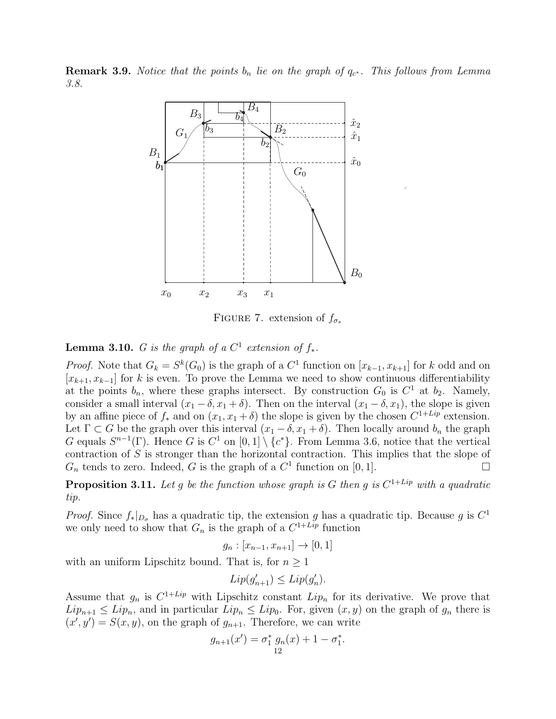**Remark 3.9.** Notice that the points  $b_n$  lie on the graph of  $q_{c^*}$ . This follows from Lemma 3.8.



FIGURE 7. extension of  $f_{\sigma_*}$ 

## **Lemma 3.10.** G is the graph of a  $C^1$  extension of  $f_*$ .

*Proof.* Note that  $G_k = S^k(G_0)$  is the graph of a  $C^1$  function on  $[x_{k-1}, x_{k+1}]$  for k odd and on  $[x_{k+1}, x_{k-1}]$  for k is even. To prove the Lemma we need to show continuous differentiability at the points  $b_n$ , where these graphs intersect. By construction  $G_0$  is  $C^1$  at  $b_2$ . Namely, consider a small interval  $(x_1 - \delta, x_1 + \delta)$ . Then on the interval  $(x_1 - \delta, x_1)$ , the slope is given by an affine piece of  $f_*$  and on  $(x_1, x_1 + \delta)$  the slope is given by the chosen  $C^{1+Lip}$  extension. Let  $\Gamma \subset G$  be the graph over this interval  $(x_1 - \delta, x_1 + \delta)$ . Then locally around  $b_n$  the graph G equals  $S^{n-1}(\Gamma)$ . Hence G is  $C^1$  on  $[0,1] \setminus \{c^*\}$ . From Lemma 3.6, notice that the vertical contraction of S is stronger than the horizontal contraction. This implies that the slope of  $G_n$  tends to zero. Indeed, G is the graph of a  $C^1$  function on [0, 1].

**Proposition 3.11.** Let g be the function whose graph is G then g is  $C^{1+Lip}$  with a quadratic tip.

*Proof.* Since  $f_*|_{D_{\sigma}}$  has a quadratic tip, the extension g has a quadratic tip. Because g is  $C^1$ we only need to show that  $G_n$  is the graph of a  $C^{1+Lip}$  function

$$
g_n : [x_{n-1}, x_{n+1}] \to [0, 1]
$$

with an uniform Lipschitz bound. That is, for  $n \geq 1$ 

$$
Lip(g'_{n+1}) \leq Lip(g'_n).
$$

Assume that  $g_n$  is  $C^{1+Lip}$  with Lipschitz constant  $Lip_n$  for its derivative. We prove that  $Lip_{n+1} \leq Lip_n$ , and in particular  $Lip_n \leq Lip_0$ . For, given  $(x, y)$  on the graph of  $g_n$  there is  $(x', y') = S(x, y)$ , on the graph of  $g_{n+1}$ . Therefore, we can write

$$
g_{n+1}(x') = \sigma_1^* g_n(x) + 1 - \sigma_1^*.
$$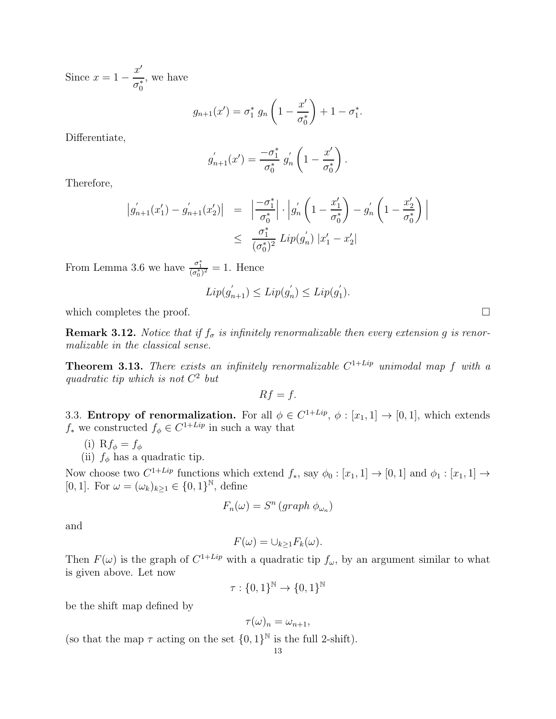Since  $x = 1 - \frac{x^{\prime}}{x}$  $\sigma_0^*$ , we have

$$
g_{n+1}(x') = \sigma_1^* g_n \left( 1 - \frac{x'}{\sigma_0^*} \right) + 1 - \sigma_1^*.
$$

Differentiate,

$$
g'_{n+1}(x') = \frac{-\sigma_1^*}{\sigma_0^*} g'_n \left(1 - \frac{x'}{\sigma_0^*}\right).
$$

Therefore,

$$
\begin{array}{rcl} \left| g_{n+1}'(x_1') - g_{n+1}'(x_2') \right| & = & \left| \frac{-\sigma_1^*}{\sigma_0^*} \right| \cdot \left| g_n' \left( 1 - \frac{x_1'}{\sigma_0^*} \right) - g_n' \left( 1 - \frac{x_2'}{\sigma_0^*} \right) \right| \\ & \leq & \frac{\sigma_1^*}{(\sigma_0^*)^2} \operatorname{Lip}(g_n') \left| x_1' - x_2' \right| \end{array}
$$

From Lemma 3.6 we have  $\frac{\sigma_1^*}{(\sigma_0^*)^2} = 1$ . Hence

$$
Lip(g'_{n+1}) \leq Lip(g'_{n}) \leq Lip(g'_{1}).
$$

which completes the proof.  $\Box$ 

**Remark 3.12.** Notice that if  $f_{\sigma}$  is infinitely renormalizable then every extension g is renormalizable in the classical sense.

**Theorem 3.13.** There exists an infinitely renormalizable  $C^{1+Lip}$  unimodal map f with a quadratic tip which is not  $C^2$  but

$$
Rf = f.
$$

3.3. **Entropy of renormalization.** For all  $\phi \in C^{1+Lip}$ ,  $\phi : [x_1, 1] \to [0, 1]$ , which extends  $f_*$  we constructed  $f_{\phi} \in C^{1+Lip}$  in such a way that

(i) R $f_{\phi} = f_{\phi}$ 

(ii)  $f_{\phi}$  has a quadratic tip.

Now choose two  $C^{1+Lip}$  functions which extend  $f_*$ , say  $\phi_0 : [x_1, 1] \to [0, 1]$  and  $\phi_1 : [x_1, 1] \to$ [0, 1]. For  $\omega = (\omega_k)_{k \geq 1} \in \{0, 1\}^{\mathbb{N}},$  define

$$
F_n(\omega) = S^n \left( graph \phi_{\omega_n} \right)
$$

and

$$
F(\omega) = \cup_{k \geq 1} F_k(\omega).
$$

Then  $F(\omega)$  is the graph of  $C^{1+Lip}$  with a quadratic tip  $f_{\omega}$ , by an argument similar to what is given above. Let now

$$
\tau: \{0,1\}^{\mathbb{N}} \to \{0,1\}^{\mathbb{N}}
$$

be the shift map defined by

$$
\tau(\omega)_n = \omega_{n+1},
$$

(so that the map  $\tau$  acting on the set  $\{0,1\}^{\mathbb{N}}$  is the full 2-shift).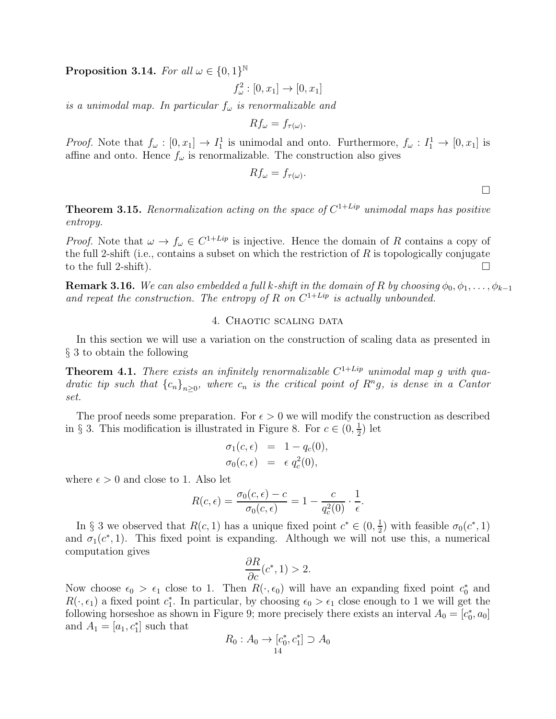Proposition 3.14. For all  $\omega \in \{0,1\}^{\mathbb{N}}$ 

$$
f_{\omega}^2:[0,x_1]\to [0,x_1]
$$

is a unimodal map. In particular  $f_{\omega}$  is renormalizable and

$$
Rf_{\omega} = f_{\tau(\omega)}.
$$

*Proof.* Note that  $f_{\omega} : [0, x_1] \to I_1^1$  is unimodal and onto. Furthermore,  $f_{\omega} : I_1^1 \to [0, x_1]$  is affine and onto. Hence  $f_{\omega}$  is renormalizable. The construction also gives

$$
Rf_{\omega}=f_{\tau(\omega)}.
$$

 $\Box$ 

**Theorem 3.15.** Renormalization acting on the space of  $C^{1+Lip}$  unimodal maps has positive entropy.

*Proof.* Note that  $\omega \to f_{\omega} \in C^{1+Lip}$  is injective. Hence the domain of R contains a copy of the full 2-shift (i.e., contains a subset on which the restriction of  $R$  is topologically conjugate to the full 2-shift).  $\Box$ 

**Remark 3.16.** We can also embedded a full k-shift in the domain of R by choosing  $\phi_0, \phi_1, \ldots, \phi_{k-1}$ and repeat the construction. The entropy of R on  $C^{1+Lip}$  is actually unbounded.

### 4. CHAOTIC SCALING DATA

In this section we will use a variation on the construction of scaling data as presented in § 3 to obtain the following

**Theorem 4.1.** There exists an infinitely renormalizable  $C^{1+Lip}$  unimodal map g with quadratic tip such that  ${c_n}_{n\geq 0}$ , where  $c_n$  is the critical point of  $R^ng$ , is dense in a Cantor set.

The proof needs some preparation. For  $\epsilon > 0$  we will modify the construction as described in § 3. This modification is illustrated in Figure 8. For  $c \in (0, \frac{1}{2})$  $(\frac{1}{2})$  let

$$
\sigma_1(c,\epsilon) = 1 - q_c(0),
$$
  
\n
$$
\sigma_0(c,\epsilon) = \epsilon q_c^2(0),
$$

where  $\epsilon > 0$  and close to 1. Also let

$$
R(c,\epsilon) = \frac{\sigma_0(c,\epsilon) - c}{\sigma_0(c,\epsilon)} = 1 - \frac{c}{q_c^2(0)} \cdot \frac{1}{\epsilon}.
$$

In § 3 we observed that  $R(c, 1)$  has a unique fixed point  $c^* \in (0, \frac{1}{2})$  $(\frac{1}{2})$  with feasible  $\sigma_0(c^*, 1)$ and  $\sigma_1(c^*, 1)$ . This fixed point is expanding. Although we will not use this, a numerical computation gives

$$
\frac{\partial R}{\partial c}(c^*, 1) > 2.
$$

Now choose  $\epsilon_0 > \epsilon_1$  close to 1. Then  $R(\cdot, \epsilon_0)$  will have an expanding fixed point  $c_0^*$  and  $R(\cdot, \epsilon_1)$  a fixed point  $c_1^*$ . In particular, by choosing  $\epsilon_0 > \epsilon_1$  close enough to 1 we will get the following horseshoe as shown in Figure 9; more precisely there exists an interval  $A_0 = [c_0^*, a_0]$ and  $A_1 = [a_1, c_1^*]$  such that

$$
R_0: A_0 \to [c_0^*, c_1^*] \supset A_0
$$
  
14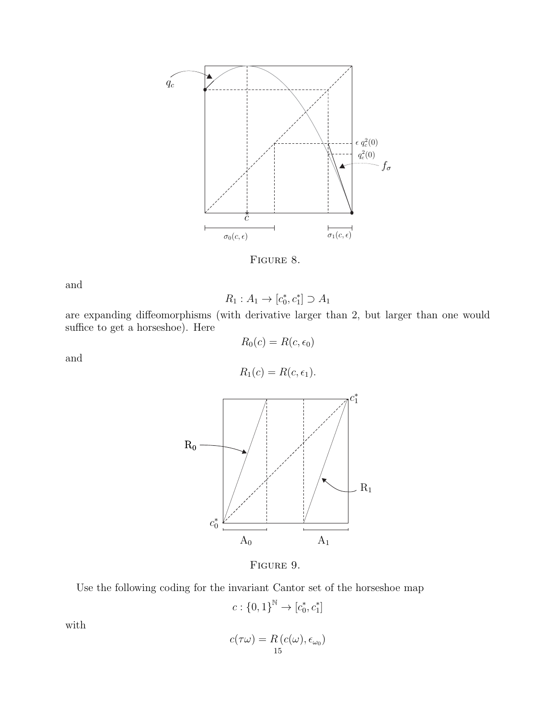

FIGURE 8.

and

$$
R_1: A_1 \to [c_0^*, c_1^*] \supset A_1
$$

are expanding diffeomorphisms (with derivative larger than 2, but larger than one would suffice to get a horseshoe). Here  $R_0(c) = R(c, \epsilon_0)$ 

and

$$
R_1(c) = R(c, \epsilon_1).
$$



Figure 9.

Use the following coding for the invariant Cantor set of the horseshoe map

$$
c: \{0,1\}^{\mathbb{N}} \to [c_0^*, c_1^*]
$$

with

$$
c(\tau\omega) = R(c(\omega), \epsilon_{\omega_0})
$$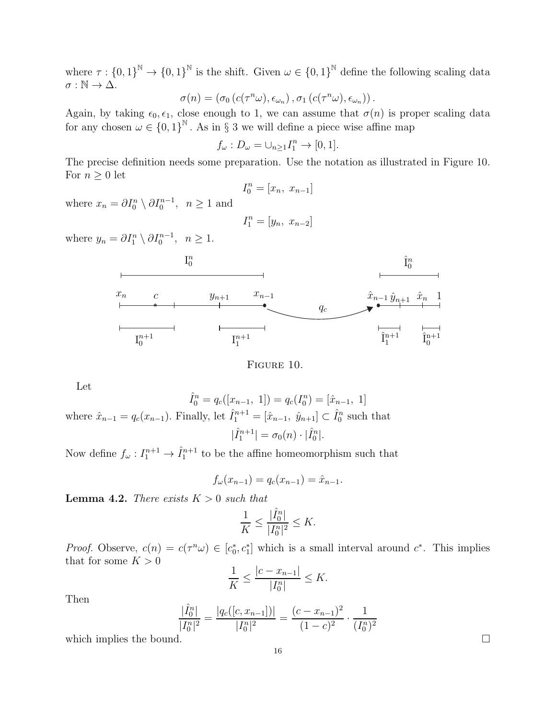where  $\tau: \{0,1\}^{\mathbb{N}} \to \{0,1\}^{\mathbb{N}}$  is the shift. Given  $\omega \in \{0,1\}^{\mathbb{N}}$  define the following scaling data  $\sigma : \mathbb{N} \to \Delta$ .

$$
\sigma(n) = (\sigma_0(c(\tau^n\omega), \epsilon_{\omega_n}), \sigma_1(c(\tau^n\omega), \epsilon_{\omega_n})).
$$

Again, by taking  $\epsilon_0, \epsilon_1$ , close enough to 1, we can assume that  $\sigma(n)$  is proper scaling data for any chosen  $\omega \in \{0,1\}^{\mathbb{N}}$ . As in § 3 we will define a piece wise affine map

$$
f_{\omega}: D_{\omega} = \cup_{n \geq 1} I_1^n \to [0, 1].
$$

The precise definition needs some preparation. Use the notation as illustrated in Figure 10. For  $n \geq 0$  let

$$
I_0^n = [x_n, \ x_{n-1}]
$$

where  $x_n = \partial I_0^n \setminus \partial I_0^{n-1}$ ,  $n \ge 1$  and

$$
I_1^n = [y_n, \ x_{n-2}]
$$

where  $y_n = \partial I_1^n \setminus \partial I_0^{n-1}, \ \ n \ge 1.$ 



Figure 10.

Let

 $\hat{I}_0^n = q_c([x_{n-1}, 1]) = q_c(I_0^n)$  $\binom{n}{0} = [\hat{x}_{n-1}, 1]$ where  $\hat{x}_{n-1} = q_c(x_{n-1})$ . Finally, let  $\hat{I}_1^{n+1} = [\hat{x}_{n-1}, \hat{y}_{n+1}] \subset \hat{I}_0^n$  such that  $|\hat{I}_1^{n+1}| = \sigma_0(n) \cdot |\hat{I}_0^n|$  $\binom{n}{0}$ .

Now define  $f_{\omega}: I_1^{n+1} \to \hat{I}_1^{n+1}$  to be the affine homeomorphism such that

$$
f_{\omega}(x_{n-1}) = q_c(x_{n-1}) = \hat{x}_{n-1}.
$$

**Lemma 4.2.** There exists  $K > 0$  such that

$$
\frac{1}{K}\leq \frac{|\hat{I}_0^n|}{|I_0^n|^2}\leq K.
$$

*Proof.* Observe,  $c(n) = c(\tau^n \omega) \in [c_0^*, c_1^*]$  which is a small interval around  $c^*$ . This implies that for some  $K > 0$ 

$$
\frac{1}{K} \le \frac{|c - x_{n-1}|}{|I_0^n|} \le K.
$$

Then

$$
\frac{|\hat{I}_0^n|}{|I_0^n|^2} = \frac{|q_c([c, x_{n-1}])|}{|I_0^n|^2} = \frac{(c - x_{n-1})^2}{(1 - c)^2} \cdot \frac{1}{(I_0^n)^2}
$$

which implies the bound.  $\square$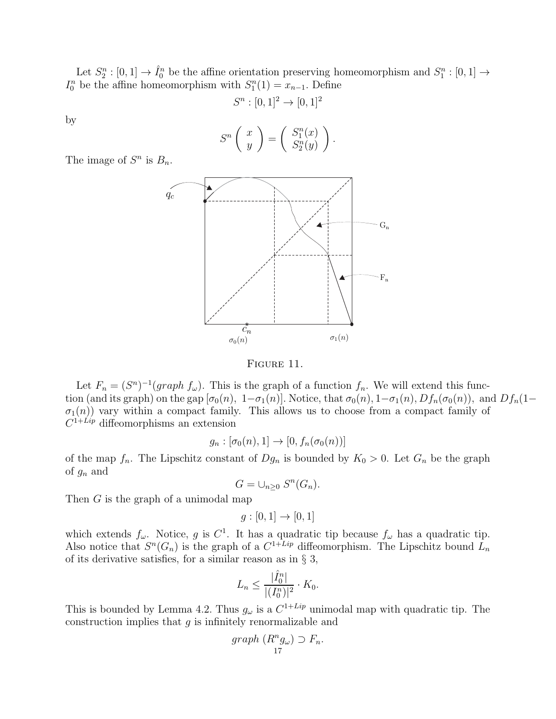Let  $S_2^n : [0,1] \to \hat{I}_0^n$  be the affine orientation preserving homeomorphism and  $S_1^n : [0,1] \to$  $I_0^n$  be the affine homeomorphism with  $S_1^n(1) = x_{n-1}$ . Define

$$
S^n : [0,1]^2 \to [0,1]^2
$$

by

$$
S^{n}\left(\begin{array}{c} x \\ y \end{array}\right) = \left(\begin{array}{c} S_{1}^{n}(x) \\ S_{2}^{n}(y) \end{array}\right).
$$

The image of  $S^n$  is  $B_n$ .



FIGURE 11.

Let  $F_n = (S^n)^{-1}(graph f_\omega)$ . This is the graph of a function  $f_n$ . We will extend this function (and its graph) on the gap  $[\sigma_0(n), 1-\sigma_1(n)]$ . Notice, that  $\sigma_0(n), 1-\sigma_1(n), Df_n(\sigma_0(n))$ , and  $Df_n(1-\sigma_0(n))$  $\sigma_1(n)$ ) vary within a compact family. This allows us to choose from a compact family of  $C^{1+Lip}$  diffeomorphisms an extension

$$
g_n : [\sigma_0(n), 1] \to [0, f_n(\sigma_0(n))]
$$

of the map  $f_n$ . The Lipschitz constant of  $Dg_n$  is bounded by  $K_0 > 0$ . Let  $G_n$  be the graph of  $g_n$  and

$$
G=\cup_{n\geq 0} S^n(G_n).
$$

Then G is the graph of a unimodal map

$$
g:[0,1] \to [0,1]
$$

which extends  $f_{\omega}$ . Notice, g is  $C^1$ . It has a quadratic tip because  $f_{\omega}$  has a quadratic tip. Also notice that  $S<sup>n</sup>(G<sub>n</sub>)$  is the graph of a  $C<sup>1+Lip</sup>$  diffeomorphism. The Lipschitz bound  $L<sub>n</sub>$ of its derivative satisfies, for a similar reason as in § 3,

$$
L_n \le \frac{|\hat{I}_0^n|}{|(I_0^n)|^2} \cdot K_0.
$$

This is bounded by Lemma 4.2. Thus  $g_{\omega}$  is a  $C^{1+Lip}$  unimodal map with quadratic tip. The construction implies that  $g$  is infinitely renormalizable and

$$
graph (R^n g_\omega) \supset F_n.
$$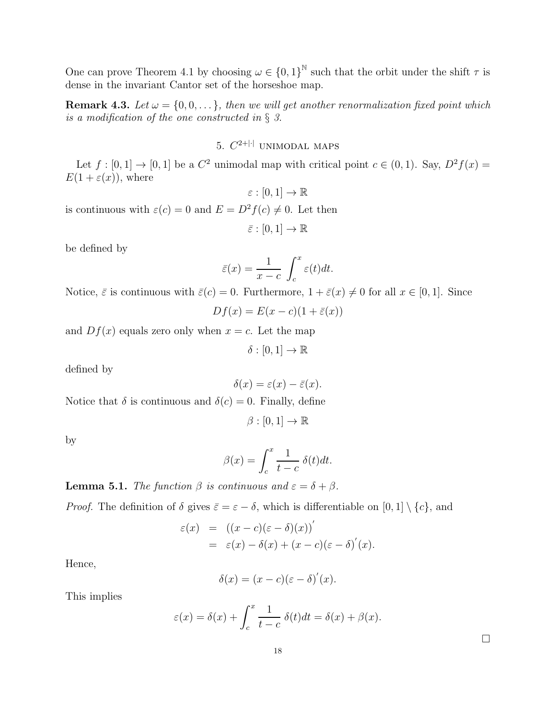One can prove Theorem 4.1 by choosing  $\omega \in \{0,1\}^{\mathbb{N}}$  such that the orbit under the shift  $\tau$  is dense in the invariant Cantor set of the horseshoe map.

**Remark 4.3.** Let  $\omega = \{0, 0, \dots\}$ , then we will get another renormalization fixed point which is a modification of the one constructed in  $\S$  3.

### 5.  $C^{2+|\cdot|}$  UNIMODAL MAPS

Let  $f : [0,1] \to [0,1]$  be a  $C^2$  unimodal map with critical point  $c \in (0,1)$ . Say,  $D^2 f(x) =$  $E(1+\varepsilon(x))$ , where

$$
\varepsilon:[0,1]\to\mathbb{R}
$$

is continuous with  $\varepsilon(c) = 0$  and  $E = D^2 f(c) \neq 0$ . Let then

 $\bar{\varepsilon}:[0,1]\to\mathbb{R}$ 

be defined by

$$
\bar{\varepsilon}(x) = \frac{1}{x - c} \int_c^x \varepsilon(t) dt.
$$

Notice,  $\bar{\varepsilon}$  is continuous with  $\bar{\varepsilon}(c) = 0$ . Furthermore,  $1 + \bar{\varepsilon}(x) \neq 0$  for all  $x \in [0, 1]$ . Since

$$
Df(x) = E(x - c)(1 + \bar{\varepsilon}(x))
$$

and  $Df(x)$  equals zero only when  $x = c$ . Let the map

 $\delta : [0,1] \to \mathbb{R}$ 

defined by

$$
\delta(x) = \varepsilon(x) - \bar{\varepsilon}(x).
$$

Notice that  $\delta$  is continuous and  $\delta(c) = 0$ . Finally, define

$$
\beta:[0,1]\to\mathbb{R}
$$

by

$$
\beta(x) = \int_c^x \frac{1}{t - c} \,\delta(t) \, dt.
$$

## **Lemma 5.1.** The function  $\beta$  is continuous and  $\varepsilon = \delta + \beta$ .

*Proof.* The definition of  $\delta$  gives  $\bar{\varepsilon} = \varepsilon - \delta$ , which is differentiable on  $[0, 1] \setminus \{c\}$ , and

$$
\varepsilon(x) = ((x - c)(\varepsilon - \delta)(x))'
$$
  
=  $\varepsilon(x) - \delta(x) + (x - c)(\varepsilon - \delta)'(x).$ 

Hence,

$$
\delta(x) = (x - c)(\varepsilon - \delta)'(x).
$$

This implies

$$
\varepsilon(x) = \delta(x) + \int_c^x \frac{1}{t - c} \, \delta(t) dt = \delta(x) + \beta(x).
$$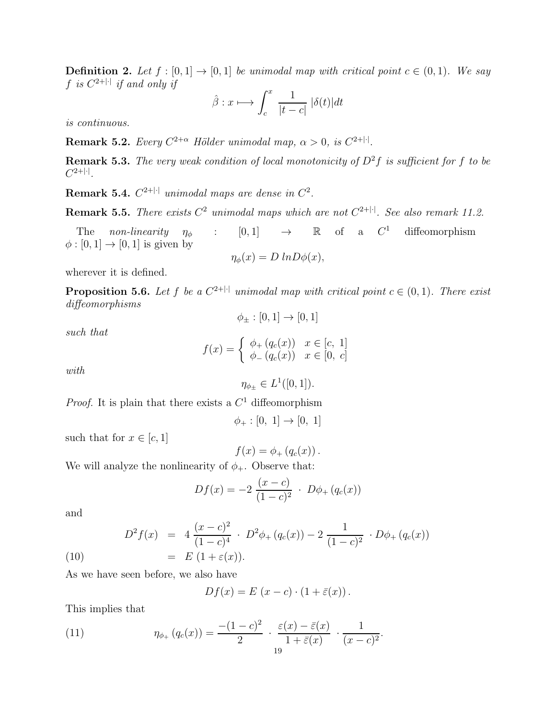**Definition 2.** Let  $f : [0, 1] \rightarrow [0, 1]$  be unimodal map with critical point  $c \in (0, 1)$ . We say f is  $C^{2+|\cdot|}$  if and only if

$$
\hat{\beta}: x \longmapsto \int_c^x \frac{1}{|t-c|} |\delta(t)| dt
$$

is continuous.

**Remark 5.2.** Every  $C^{2+\alpha}$  Hölder unimodal map,  $\alpha > 0$ , is  $C^{2+|\cdot|}$ .

**Remark 5.3.** The very weak condition of local monotonicity of  $D^2f$  is sufficient for f to be  $C^{2+|\cdot|}.$ 

**Remark 5.4.**  $C^{2+|\cdot|}$  unimodal maps are dense in  $C^2$ .

**Remark 5.5.** There exists  $C^2$  unimodal maps which are not  $C^{2+|\cdot|}$ . See also remark 11.2.

The non-linearity  $\eta_{\phi}$  : [0, 1]  $\rightarrow$  R of a  $C^1$ diffeomorphism  $\phi : [0, 1] \rightarrow [0, 1]$  is given by

$$
\eta_{\phi}(x) = D \ln D\phi(x),
$$

wherever it is defined.

**Proposition 5.6.** Let f be a  $C^{2+|\cdot|}$  unimodal map with critical point  $c \in (0,1)$ . There exist diffeomorphisms  $\phi_+ : [0,1] \to [0,1]$ 

$$
such\ that
$$

$$
f(x) = \begin{cases} \phi_+(q_c(x)) & x \in [c, 1] \\ \phi_-(q_c(x)) & x \in [0, c] \end{cases}
$$

with

$$
\eta_{\phi_{\pm}} \in L^1([0,1]).
$$

*Proof.* It is plain that there exists a  $C<sup>1</sup>$  diffeomorphism

$$
\phi_+ : [0, 1] \to [0, 1]
$$

such that for  $x \in [c, 1]$ 

$$
f(x) = \phi_+(q_c(x)).
$$

We will analyze the nonlinearity of  $\phi_{+}$ . Observe that:

$$
Df(x) = -2 \frac{(x-c)}{(1-c)^2} \cdot D\phi_+(q_c(x))
$$

and

(10) 
$$
D^{2} f(x) = 4 \frac{(x - c)^{2}}{(1 - c)^{4}} \cdot D^{2} \phi_{+} (q_{c}(x)) - 2 \frac{1}{(1 - c)^{2}} \cdot D \phi_{+} (q_{c}(x))
$$

$$
= E (1 + \varepsilon(x)).
$$

As we have seen before, we also have

$$
Df(x) = E(x - c) \cdot (1 + \bar{\varepsilon}(x)).
$$

This implies that

(11) 
$$
\eta_{\phi_+}(q_c(x)) = \frac{-(1-c)^2}{2} \cdot \frac{\varepsilon(x) - \bar{\varepsilon}(x)}{1 + \bar{\varepsilon}(x)} \cdot \frac{1}{(x-c)^2}.
$$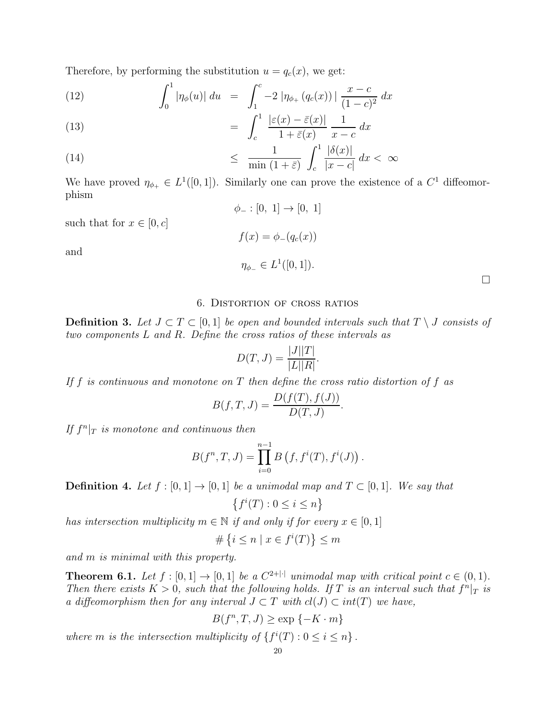Therefore, by performing the substitution  $u = q_c(x)$ , we get:

(12) 
$$
\int_0^1 |\eta_{\phi}(u)| du = \int_1^c -2 |\eta_{\phi_+}(q_c(x))| \frac{x-c}{(1-c)^2} dx
$$

(13) 
$$
= \int_{c}^{1} \frac{|\varepsilon(x) - \bar{\varepsilon}(x)|}{1 + \bar{\varepsilon}(x)} \frac{1}{x - c} dx
$$

(14) 
$$
\leq \frac{1}{\min(1+\bar{\varepsilon})} \int_{c}^{1} \frac{|\delta(x)|}{|x-c|} dx < \infty
$$

We have proved  $\eta_{\phi_+} \in L^1([0,1])$ . Similarly one can prove the existence of a  $C^1$  diffeomorphism  $\phi_- : [0, 1] \to [0, 1]$ 

 $f(x) = \phi_{-}(q_c(x))$ 

 $\eta_{\phi_-} \in L^1([0,1]).$ 

such that for  $x \in [0, c]$ 

and

#### 6. Distortion of cross ratios

**Definition 3.** Let  $J ⊂ T ⊂ [0, 1]$  be open and bounded intervals such that  $T \setminus J$  consists of two components L and R. Define the cross ratios of these intervals as

$$
D(T,J) = \frac{|J||T|}{|L||R|}.
$$

If f is continuous and monotone on  $T$  then define the cross ratio distortion of f as

$$
B(f,T,J) = \frac{D(f(T), f(J))}{D(T,J)}.
$$

If  $f^n|x$  is monotone and continuous then

$$
B(f^{n}, T, J) = \prod_{i=0}^{n-1} B(f, f^{i}(T), f^{i}(J)).
$$

**Definition 4.** Let  $f : [0, 1] \rightarrow [0, 1]$  be a unimodal map and  $T \subset [0, 1]$ . We say that

$$
\left\{f^i(T) : 0 \le i \le n\right\}
$$

has intersection multiplicity  $m \in \mathbb{N}$  if and only if for every  $x \in [0, 1]$ 

$$
\# \left\{ i \leq n \mid x \in f^i(T) \right\} \leq m
$$

and m is minimal with this property.

**Theorem 6.1.** Let  $f : [0,1] \to [0,1]$  be a  $C^{2+|\cdot|}$  unimodal map with critical point  $c \in (0,1)$ . Then there exists  $K > 0$ , such that the following holds. If T is an interval such that  $f^{n}|_{T}$  is a diffeomorphism then for any interval  $J \subset T$  with  $cl(J) \subset int(T)$  we have,

$$
B(f^n, T, J) \ge \exp\{-K \cdot m\}
$$

where m is the intersection multiplicity of  $\{f^{i}(T): 0 \leq i \leq n\}$ .

 $\Box$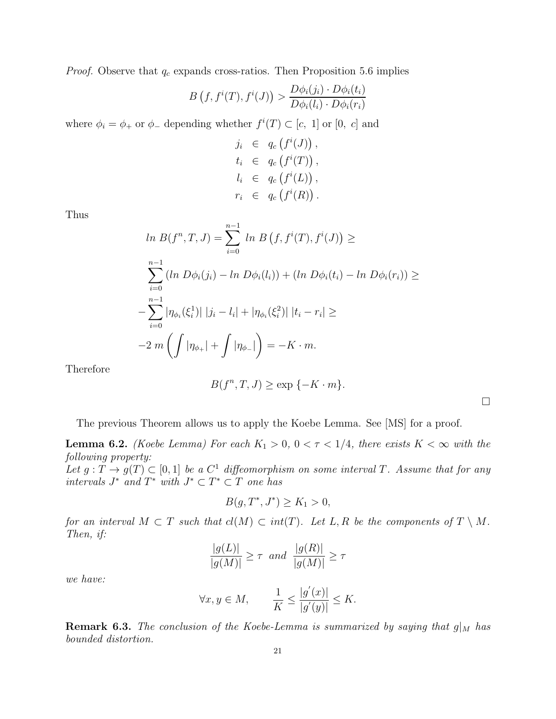*Proof.* Observe that  $q_c$  expands cross-ratios. Then Proposition 5.6 implies

$$
B(f, f^{i}(T), f^{i}(J)) > \frac{D\phi_{i}(j_{i}) \cdot D\phi_{i}(t_{i})}{D\phi_{i}(l_{i}) \cdot D\phi_{i}(r_{i})}
$$

where  $\phi_i = \phi_+$  or  $\phi_-$  depending whether  $f^i(T) \subset [c, 1]$  or  $[0, c]$  and

$$
j_i \in q_c(f^i(J)),
$$
  
\n
$$
t_i \in q_c(f^i(T)),
$$
  
\n
$$
l_i \in q_c(f^i(L)),
$$
  
\n
$$
r_i \in q_c(f^i(R)).
$$

Thus

$$
\ln B(f^n, T, J) = \sum_{i=0}^{n-1} \ln B(f, f^i(T), f^i(J)) \ge
$$
  

$$
\sum_{i=0}^{n-1} (\ln D\phi_i(j_i) - \ln D\phi_i(l_i)) + (\ln D\phi_i(t_i) - \ln D\phi_i(r_i)) \ge
$$
  

$$
-\sum_{i=0}^{n-1} |\eta_{\phi_i}(\xi_i^1)| |j_i - l_i| + |\eta_{\phi_i}(\xi_i^2)| |t_i - r_i| \ge
$$
  

$$
-2 \, m \left( \int |\eta_{\phi_+}| + \int |\eta_{\phi_-}| \right) = -K \cdot m.
$$

Therefore

$$
B(f^n, T, J) \ge \exp\{-K \cdot m\}.
$$

 $\Box$ 

The previous Theorem allows us to apply the Koebe Lemma. See [MS] for a proof.

**Lemma 6.2.** (Koebe Lemma) For each  $K_1 > 0$ ,  $0 < \tau < 1/4$ , there exists  $K < \infty$  with the following property:

Let  $g: T \to g(T) \subset [0,1]$  be a  $C^1$  diffeomorphism on some interval T. Assume that for any intervals  $J^*$  and  $T^*$  with  $J^* \subset T^* \subset T$  one has

$$
B(g, T^*, J^*) \ge K_1 > 0,
$$

for an interval  $M \subset T$  such that  $cl(M) \subset int(T)$ . Let L, R be the components of  $T \setminus M$ . Then, if:

$$
\frac{|g(L)|}{|g(M)|} \ge \tau \quad and \quad \frac{|g(R)|}{|g(M)|} \ge \tau
$$

we have:

$$
\forall x, y \in M, \qquad \frac{1}{K} \le \frac{|g'(x)|}{|g'(y)|} \le K.
$$

**Remark 6.3.** The conclusion of the Koebe-Lemma is summarized by saying that  $g|_M$  has bounded distortion.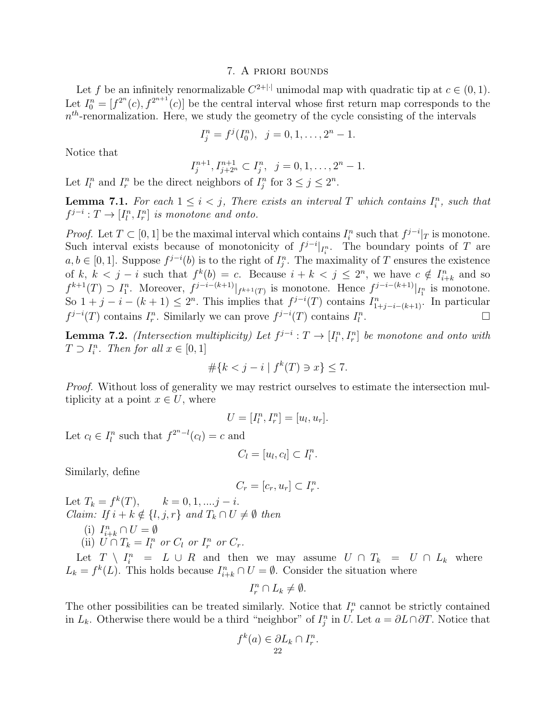### 7. A priori bounds

Let f be an infinitely renormalizable  $C^{2+|\cdot|}$  unimodal map with quadratic tip at  $c \in (0,1)$ . Let  $I_0^n = [f^{2^n}(c), f^{2^{n+1}}(c)]$  be the central interval whose first return map corresponds to the  $n<sup>th</sup>$ -renormalization. Here, we study the geometry of the cycle consisting of the intervals

$$
I_j^n = f^j(I_0^n), \ \ j = 0, 1, \dots, 2^n - 1.
$$

Notice that

$$
I_j^{n+1}, I_{j+2^n}^{n+1} \subset I_j^n, \ \ j=0,1,\ldots,2^n-1.
$$

Let  $I_l^n$  and  $I_r^n$  be the direct neighbors of  $I_j^n$  for  $3 \le j \le 2^n$ .

**Lemma 7.1.** For each  $1 \leq i < j$ , There exists an interval T which contains  $I_i^n$ , such that  $f^{j-i}: T \to [I_l^n, I_r^n]$  is monotone and onto.

*Proof.* Let  $T \subset [0, 1]$  be the maximal interval which contains  $I_i^n$  such that  $f^{j-i}|_T$  is monotone. Such interval exists because of monotonicity of  $f^{j-i}|_{I_i^n}$ . The boundary points of T are  $a, b \in [0, 1]$ . Suppose  $f^{j-i}(b)$  is to the right of  $I_j^n$ . The maximality of T ensures the existence of k,  $k < j - i$  such that  $f^k(b) = c$ . Because  $i + k < j \le 2^n$ , we have  $c \notin I_{i+k}^n$  and so  $f^{k+1}(T) \supset I_1^n$ . Moreover,  $f^{j-i-(k+1)}|_{f^{k+1}(T)}$  is monotone. Hence  $f^{j-i-(k+1)}|_{I_1^n}$  is monotone. So  $1+j-i-(k+1) \leq 2^n$ . This implies that  $f^{j-i}(T)$  contains  $I_{1+j-i-(k+1)}^n$ . In particular  $f^{j-i}(T)$  contains  $I_r^n$ . Similarly we can prove  $f^{j-i}(T)$  contains  $I_l^n$ . *∴ стати* на постаните од настаните од настаните од настаните од настаните од настаните од настаните од настан<br>Статистика на текот на текот на текот на текот на текот на текот на текот на текот на текот на текот на тек

**Lemma 7.2.** (Intersection multiplicity) Let  $f^{j-i}: T \to [I_l^n, I_r^n]$  be monotone and onto with  $T \supset I_i^n$ . Then for all  $x \in [0,1]$ 

$$
\#\{k < j - i \mid f^k(T) \ni x\} \le 7.
$$

Proof. Without loss of generality we may restrict ourselves to estimate the intersection multiplicity at a point  $x \in U$ , where

$$
U = [I_l^n, I_r^n] = [u_l, u_r].
$$

Let  $c_l \in I_l^n$  such that  $f^{2^{n-l}}(c_l) = c$  and

$$
C_l = [u_l, c_l] \subset I_l^n.
$$

Similarly, define

$$
C_r = [c_r, u_r] \subset I_r^n.
$$

Let  $T_k = f^k(T)$ ,  $k = 0, 1, ..., j - i$ . *Claim:* If  $i + k \notin \{l, j, r\}$  and  $T_k \cap U \neq \emptyset$  then

- (i)  $I_{i+k}^n \cap U = \emptyset$
- (ii)  $U \cap T_k = I_l^n$  or  $C_l$  or  $I_r^n$  or  $C_r$ .

Let  $T \setminus I_i^n = L \cup R$  and then we may assume  $U \cap T_k = U \cap L_k$  where  $L_k = f^k(L)$ . This holds because  $I_{i+k}^n \cap U = \emptyset$ . Consider the situation where

$$
I_r^n \cap L_k \neq \emptyset.
$$

The other possibilities can be treated similarly. Notice that  $I_r^n$  cannot be strictly contained in  $L_k$ . Otherwise there would be a third "neighbor" of  $I_j^n$  in U. Let  $a = \partial L \cap \partial T$ . Notice that

$$
f^k(a) \in \partial L_k \cap I_r^n.
$$
  
22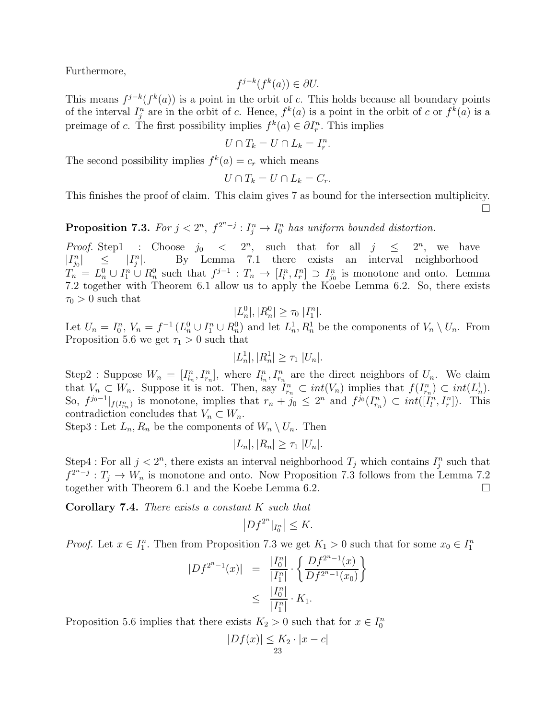Furthermore,

$$
f^{j-k}(f^k(a)) \in \partial U.
$$

This means  $f^{j-k}(f^k(a))$  is a point in the orbit of c. This holds because all boundary points of the interval  $I_j^n$  are in the orbit of c. Hence,  $f^k(a)$  is a point in the orbit of c or  $f^k(a)$  is a preimage of c. The first possibility implies  $f^k(a) \in \partial I_r^n$ . This implies

$$
U \cap T_k = U \cap L_k = I_r^n
$$

.

The second possibility implies  $f^k(a) = c_r$  which means

$$
U\cap T_k=U\cap L_k=C_r.
$$

This finishes the proof of claim. This claim gives 7 as bound for the intersection multiplicity.  $\Box$ 

**Proposition 7.3.** For  $j < 2^n$ ,  $f^{2^n-j}$  :  $I_j^n \to I_0^n$  has uniform bounded distortion.

*Proof.* Step1 : Choose  $j_0 < 2^n$ , such that for all  $j \leq 2^n$ , we have  $|I_{j_0}^n| \leq |I_{j_0}|$  $\int_{j}^{n}$ . By Lemma 7.1 there exists an interval neighborhood  $T_n = L_n^0 \cup I_1^n \cup R_n^0$  such that  $f^{j-1} : T_n \to [I_l^n, I_r^n] \supset I_{j_0}^n$  is monotone and onto. Lemma 7.2 together with Theorem 6.1 allow us to apply the Koebe Lemma 6.2. So, there exists  $\tau_0 > 0$  such that

$$
|L_n^0|, |R_n^0| \ge \tau_0 |I_1^n|.
$$

Let  $U_n = I_0^n$ ,  $V_n = f^{-1}(L_n^0 \cup I_1^n \cup R_n^0)$  and let  $L_n^1, R_n^1$  be the components of  $V_n \setminus U_n$ . From Proposition 5.6 we get  $\tau_1 > 0$  such that

$$
|L_n^1|, |R_n^1| \ge \tau_1 |U_n|.
$$

Step2 : Suppose  $W_n = [I_{l_n}^n, I_{r_n}^n]$ , where  $I_{l_n}^n, I_{r_n}^n$  are the direct neighbors of  $U_n$ . We claim that  $V_n \subset W_n$ . Suppose it is not. Then, say  $I_{r_n}^n \subset int(V_n)$  implies that  $f(I_{r_n}^n) \subset int(L_n^1)$ . So,  $f^{j_0-1}|_{f(I_{r_n}^n)}$  is monotone, implies that  $r_n + j_0 \leq 2^n$  and  $f^{j_0}(I_{r_n}^n) \subset int([I_l^n, I_r^n])$ . This contradiction concludes that  $V_n \subset W_n$ .

Step3 : Let  $L_n, R_n$  be the components of  $W_n \setminus U_n$ . Then

$$
|L_n|, |R_n| \geq \tau_1 |U_n|.
$$

Step4 : For all  $j < 2<sup>n</sup>$ , there exists an interval neighborhood  $T_j$  which contains  $I_j^n$  such that  $f^{2^n-j}: T_j \to W_n$  is monotone and onto. Now Proposition 7.3 follows from the Lemma 7.2 together with Theorem 6.1 and the Koebe Lemma 6.2.

Corollary 7.4. There exists a constant K such that

$$
\left|Df^{2^n}|_{I_0^n}\right| \leq K.
$$

*Proof.* Let  $x \in I_1^n$ . Then from Proposition 7.3 we get  $K_1 > 0$  such that for some  $x_0 \in I_1^n$ 

$$
|Df^{2^{n}-1}(x)| = \frac{|I_0^n|}{|I_1^n|} \cdot \left\{ \frac{Df^{2^{n}-1}(x)}{Df^{2^{n}-1}(x_0)} \right\}
$$
  

$$
\leq \frac{|I_0^n|}{|I_1^n|} \cdot K_1.
$$

Proposition 5.6 implies that there exists  $K_2 > 0$  such that for  $x \in I_0^n$ 

$$
|Df(x)| \leq K_2 \cdot |x - c|
$$
  
<sub>23</sub>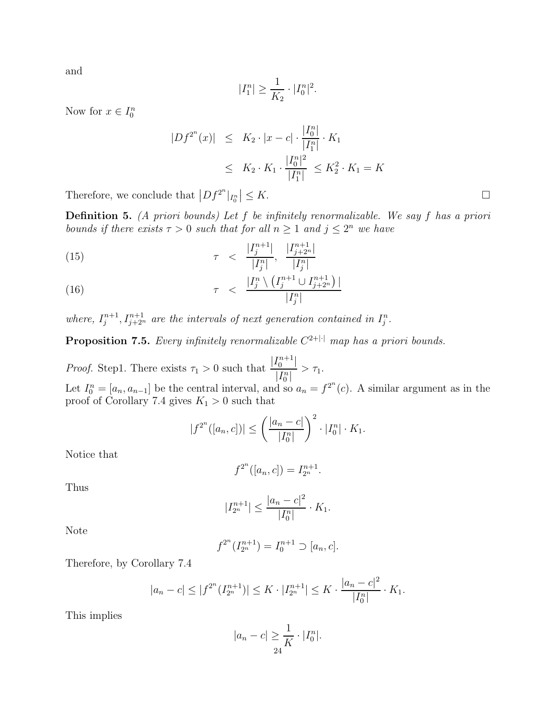and

$$
|I_1^n| \ge \frac{1}{K_2} \cdot |I_0^n|^2.
$$

Now for  $x \in I_0^n$ 

$$
|Df^{2^n}(x)| \leq K_2 \cdot |x - c| \cdot \frac{|I_0^n|}{|I_1^n|} \cdot K_1
$$
  
 
$$
\leq K_2 \cdot K_1 \cdot \frac{|I_0^n|^2}{|I_1^n|} \leq K_2^2 \cdot K_1 = K
$$

Therefore, we conclude that  $|Df^{2^n}|_{I_0^n}| \leq K$ .

**Definition 5.** (A priori bounds) Let  $f$  be infinitely renormalizable. We say  $f$  has a priori bounds if there exists  $\tau > 0$  such that for all  $n \geq 1$  and  $j \leq 2^n$  we have

(15) 
$$
\tau \quad < \quad \frac{|I_j^{n+1}|}{|I_j^n|}, \quad \frac{|I_{j+2^n}^{n+1}|}{|I_j^n|}
$$

(16) 
$$
\tau \ < \ \frac{|I_j^n \setminus (I_j^{n+1} \cup I_{j+2^n}^{n+1})|}{|I_j^n|}
$$

where,  $I_j^{n+1}, I_{j+2^n}^{n+1}$  are the intervals of next generation contained in  $I_j^n$ .

**Proposition 7.5.** Every infinitely renormalizable  $C^{2+|\cdot|}$  map has a priori bounds.

*Proof.* Step1. There exists  $\tau_1 > 0$  such that  $\frac{|I_0^{n+1}|}{|I_n^n|}$  $\frac{1}{|I_0^n|} > \tau_1.$ Let  $I_0^n = [a_n, a_{n-1}]$  be the central interval, and so  $a_n = f^{2^n}(c)$ . A similar argument as in the proof of Corollary 7.4 gives  $K_1 > 0$  such that

$$
|f^{2^n}([a_n, c])| \le \left(\frac{|a_n - c|}{|I_0^n|}\right)^2 \cdot |I_0^n| \cdot K_1.
$$

Notice that

$$
f^{2^n}([a_n, c]) = I_{2^n}^{n+1}.
$$

Thus

$$
|I_{2^n}^{n+1}| \le \frac{|a_n - c|^2}{|I_0^n|} \cdot K_1.
$$

Note

$$
f^{2^n}(I_{2^n}^{n+1}) = I_0^{n+1} \supset [a_n, c].
$$

Therefore, by Corollary 7.4

$$
|a_n - c| \le |f^{2^n} (I_{2^n}^{n+1})| \le K \cdot |I_{2^n}^{n+1}| \le K \cdot \frac{|a_n - c|^2}{|I_0^n|} \cdot K_1.
$$

This implies

$$
|a_n - c| \geq \frac{1}{K} \cdot |I_0^n|.
$$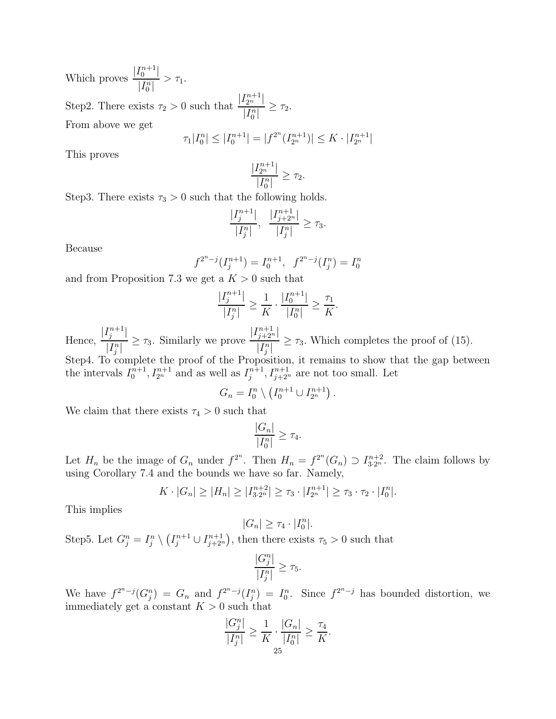Which proves  $\frac{|I_0^{n+1}|}{|I_0^n|}$  $\frac{1}{|I_0^n|} > \tau_1.$ 

Step2. There exists  $\tau_2 > 0$  such that  $\frac{|I_{2^n}^{n+1}|}{|I_{2^n}|}$  $\frac{1}{|I_0^n|} \geq \tau_2.$ From above we get

$$
\tau_1|I_0^n| \le |I_0^{n+1}| = |f^{2^n}(I_{2^n}^{n+1})| \le K \cdot |I_{2^n}^{n+1}|
$$

This proves

$$
\frac{|I_{2^n}^{n+1}|}{|I_0^n|} \ge \tau_2.
$$

Step3. There exists  $\tau_3 > 0$  such that the following holds.

$$
\frac{|I_j^{n+1}|}{|I_j^n|}, \ \frac{|I_{j+2^n}^{n+1}|}{|I_j^n|} \geq \tau_3.
$$

Because

$$
f^{2^n-j}(I_j^{n+1}) = I_0^{n+1}, \quad f^{2^n-j}(I_j^n) = I_0^n
$$

and from Proposition 7.3 we get a  $K > 0$  such that

$$
\frac{|I_j^{n+1}|}{|I_j^n|} \ge \frac{1}{K} \cdot \frac{|I_0^{n+1}|}{|I_0^n|} \ge \frac{\tau_1}{K}.
$$

Hence,  $|I_j^{n+1}|$  $\frac{1}{|I_j^n|} \geq \tau_3$ . Similarly we prove  $\left|I_{j+2^n}^{n+1}\right|$  $\frac{1}{|I_j^n|} \geq \tau_3$ . Which completes the proof of (15).

Step4. To complete the proof of the Proposition, it remains to show that the gap between the intervals  $I_0^{n+1}, I_{2^n}^{n+1}$  and as well as  $I_j^{n+1}, I_{j+2^n}^{n+1}$  are not too small. Let

$$
G_n = I_0^n \setminus \left( I_0^{n+1} \cup I_{2^n}^{n+1} \right).
$$

We claim that there exists  $\tau_4 > 0$  such that

$$
\frac{|G_n|}{|I_0^n|} \ge \tau_4.
$$

Let  $H_n$  be the image of  $G_n$  under  $f^{2^n}$ . Then  $H_n = f^{2^n}(G_n) \supset I_{3 \cdot 2^n}^{n+2}$ . The claim follows by using Corollary 7.4 and the bounds we have so far. Namely,

$$
K \cdot |G_n| \ge |H_n| \ge |I_{3 \cdot 2^n}^{n+2}| \ge \tau_3 \cdot |I_{2^n}^{n+1}| \ge \tau_3 \cdot \tau_2 \cdot |I_0^n|.
$$

This implies

$$
|G_n| \geq \tau_4 \cdot |I_0^n|.
$$

Step5. Let  $G_j^n = I_j^n \setminus (I_j^{n+1} \cup I_{j+2^n}^{n+1}),$  then there exists  $\tau_5 > 0$  such that

$$
\frac{|G_j^n|}{|I_j^n|} \ge \tau_5.
$$

We have  $f^{2^n-j}(G_j^n) = G_n$  and  $f^{2^n-j}(I_j^n) = I_0^n$ . Since  $f^{2^n-j}$  has bounded distortion, we immediately get a constant  $K > 0$  such that

$$
\frac{|G_j^n|}{|I_j^n|} \geq \frac{1}{K} \cdot \frac{|G_n|}{|I_0^n|} \geq \frac{\tau_4}{K}.
$$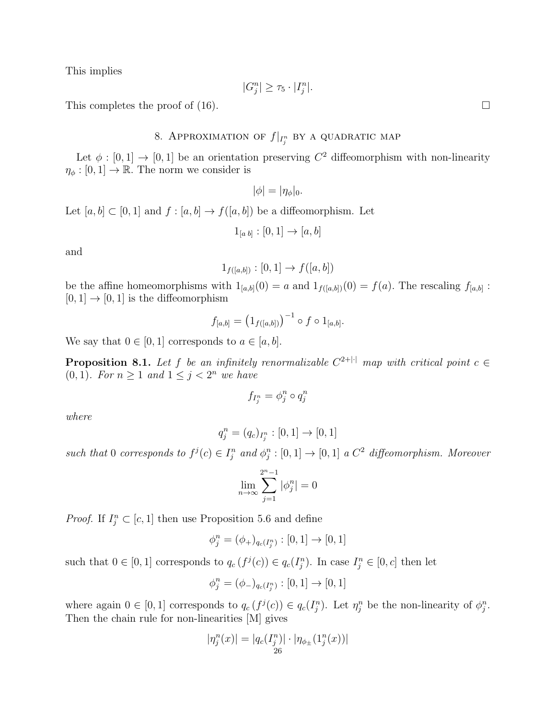This implies

$$
|G_j^n| \ge \tau_5 \cdot |I_j^n|.
$$

This completes the proof of (16).  $\Box$ 

# 8. APPROXIMATION OF  $f|_{I_j^n}$  by a quadratic map

Let  $\phi : [0,1] \to [0,1]$  be an orientation preserving  $C^2$  diffeomorphism with non-linearity  $\eta_{\phi} : [0, 1] \to \mathbb{R}$ . The norm we consider is

$$
|\phi|=|\eta_{\phi}|_0.
$$

Let  $[a, b] \subset [0, 1]$  and  $f : [a, b] \to f([a, b])$  be a diffeomorphism. Let

$$
1_{[a b]} : [0, 1] \to [a, b]
$$

and

$$
1_{f([a,b])}: [0,1] \to f([a,b])
$$

be the affine homeomorphisms with  $1_{[a,b]}(0) = a$  and  $1_{f([a,b])}(0) = f(a)$ . The rescaling  $f_{[a,b]}$ :  $[0, 1] \rightarrow [0, 1]$  is the diffeomorphism

$$
f_{[a,b]} = (1_{f([a,b])})^{-1} \circ f \circ 1_{[a,b]}.
$$

We say that  $0 \in [0, 1]$  corresponds to  $a \in [a, b]$ .

**Proposition 8.1.** Let f be an infinitely renormalizable  $C^{2+|\cdot|}$  map with critical point  $c \in$ (0, 1). For  $n \geq 1$  and  $1 \leq j < 2^n$  we have

$$
f_{I_j^n} = \phi_j^n \circ q_j^n
$$

where

$$
q_j^n = (q_c)_{I_j^n} : [0,1] \to [0,1]
$$

such that 0 corresponds to  $f^j(c) \in I_j^n$  and  $\phi_j^n : [0,1] \to [0,1]$  a  $C^2$  diffeomorphism. Moreover

$$
\lim_{n\to\infty}\sum_{j=1}^{2^n-1}|\phi_j^n|=0
$$

*Proof.* If  $I_j^n \subset [c, 1]$  then use Proposition 5.6 and define

$$
\phi_j^n = (\phi_+)_{q_c(I_j^n)} : [0,1] \to [0,1]
$$

such that  $0 \in [0,1]$  corresponds to  $q_c(f^j(c)) \in q_c(I_j^n)$ . In case  $I_j^n \in [0,c]$  then let

$$
\phi_j^n = (\phi_-)_{q_c(I_j^n)} : [0,1] \to [0,1]
$$

where again  $0 \in [0,1]$  corresponds to  $q_c(f^j(c)) \in q_c(I_j^n)$ . Let  $\eta_j^n$  be the non-linearity of  $\phi_j^n$ . Then the chain rule for non-linearities [M] gives

$$
|\eta_j^n(x)| = |q_c(I_j^n)| \cdot |\eta_{\phi_{\pm}}(1_j^n(x))|
$$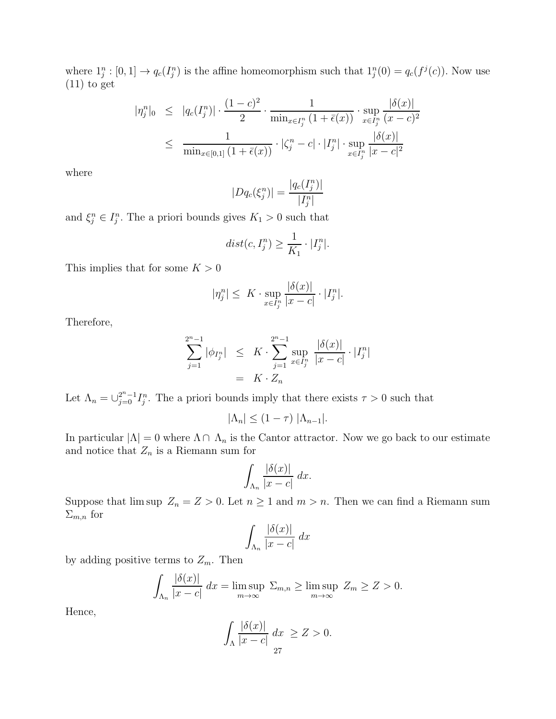where  $1_i^n : [0,1] \to q_c(I_i^n)$  is the affine homeomorphism such that  $1_i^n(0) = q_c(f^j(c))$ . Now use  $(11)$  to get

$$
|\eta_j^n|_0 \leq |q_c(I_j^n)| \cdot \frac{(1-c)^2}{2} \cdot \frac{1}{\min_{x \in I_j^n} (1 + \bar{\epsilon}(x))} \cdot \sup_{x \in I_j^n} \frac{|\delta(x)|}{(x-c)^2}
$$
  

$$
\leq \frac{1}{\min_{x \in [0,1]} (1 + \bar{\epsilon}(x))} \cdot |\zeta_j^n - c| \cdot |I_j^n| \cdot \sup_{x \in I_j^n} \frac{|\delta(x)|}{|x-c|^2}
$$

where

$$
|Dq_c(\xi_j^n)| = \frac{|q_c(I_j^n)|}{|I_j^n|}
$$

and  $\xi_j^n \in I_j^n$ . The a priori bounds gives  $K_1 > 0$  such that

$$
dist(c, I_j^n) \ge \frac{1}{K_1} \cdot |I_j^n|.
$$

This implies that for some  $K > 0$ 

$$
|\eta_j^n| \leq K \cdot \sup_{x \in I_j^n} \frac{|\delta(x)|}{|x - c|} \cdot |I_j^n|.
$$

Therefore,

$$
\sum_{j=1}^{2^{n}-1} |\phi_{I_{j}^{n}}| \leq K \cdot \sum_{j=1}^{2^{n}-1} \sup_{x \in I_{j}^{n}} \frac{|\delta(x)|}{|x-c|} \cdot |I_{j}^{n}|
$$
  
=  $K \cdot Z_{n}$ 

Let  $\Lambda_n = \bigcup_{j=0}^{2^n-1} I_j^n$ . The a priori bounds imply that there exists  $\tau > 0$  such that  $|\Lambda_n| \leq (1-\tau) |\Lambda_{n-1}|.$ 

In particular  $|\Lambda| = 0$  where  $\Lambda \cap \Lambda_n$  is the Cantor attractor. Now we go back to our estimate and notice that  $Z_n$  is a Riemann sum for

$$
\int_{\Lambda_n} \frac{|\delta(x)|}{|x-c|} \, dx.
$$

Suppose that  $\limsup Z_n = Z > 0$ . Let  $n \ge 1$  and  $m > n$ . Then we can find a Riemann sum  $\Sigma_{m,n}$  for

$$
\int_{\Lambda_n} \frac{|\delta(x)|}{|x-c|} \, dx
$$

by adding positive terms to  $Z_m$ . Then

$$
\int_{\Lambda_n} \frac{|\delta(x)|}{|x - c|} dx = \limsup_{m \to \infty} \Sigma_{m,n} \ge \limsup_{m \to \infty} Z_m \ge Z > 0.
$$

Hence,

$$
\int_{\Lambda} \frac{|\delta(x)|}{|x-c|} dx \ge Z > 0.
$$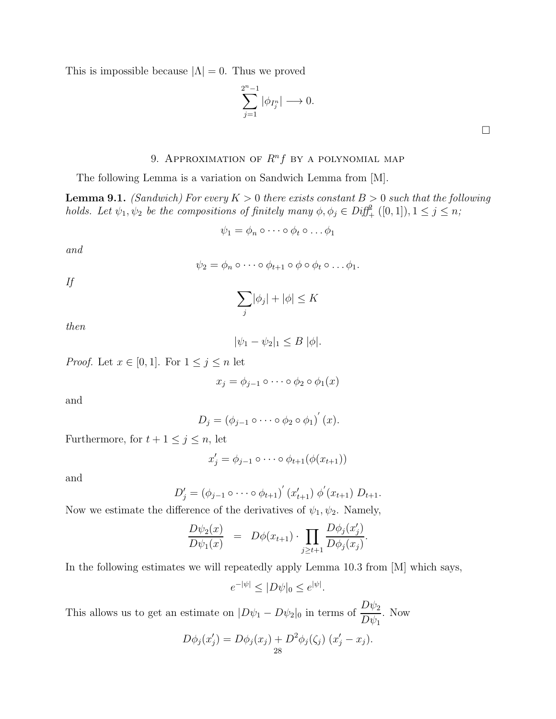This is impossible because  $|\Lambda| = 0$ . Thus we proved

$$
\sum_{j=1}^{2^n-1} |\phi_{I_j^n}| \longrightarrow 0.
$$

## 9. APPROXIMATION OF  $R^n f$  by a polynomial map

The following Lemma is a variation on Sandwich Lemma from [M].

**Lemma 9.1.** (Sandwich) For every  $K > 0$  there exists constant  $B > 0$  such that the following holds. Let  $\psi_1, \psi_2$  be the compositions of finitely many  $\phi, \phi_j \in \text{Diff}^2_+([0,1])$ ,  $1 \leq j \leq n$ ;

$$
\psi_1 = \phi_n \circ \cdots \circ \phi_t \circ \dots \phi_1
$$

and

$$
\psi_2 = \phi_n \circ \cdots \circ \phi_{t+1} \circ \phi \circ \phi_t \circ \ldots \phi_1.
$$

If

$$
\sum_j |\phi_j| + |\phi| \le K
$$

then

$$
|\psi_1 - \psi_2|_1 \leq B |\phi|.
$$

*Proof.* Let  $x \in [0, 1]$ . For  $1 \leq j \leq n$  let

$$
x_j = \phi_{j-1} \circ \cdots \circ \phi_2 \circ \phi_1(x)
$$

and

$$
D_j = (\phi_{j-1} \circ \cdots \circ \phi_2 \circ \phi_1)'(x).
$$

Furthermore, for  $t + 1 \leq j \leq n$ , let

$$
x'_j = \phi_{j-1} \circ \cdots \circ \phi_{t+1}(\phi(x_{t+1}))
$$

and

$$
D'_{j} = (\phi_{j-1} \circ \cdots \circ \phi_{t+1})' (x'_{t+1}) \phi' (x_{t+1}) D_{t+1}.
$$

Now we estimate the difference of the derivatives of  $\psi_1, \psi_2$ . Namely,

$$
\frac{D\psi_2(x)}{D\psi_1(x)} = D\phi(x_{t+1}) \cdot \prod_{j \ge t+1} \frac{D\phi_j(x'_j)}{D\phi_j(x_j)}.
$$

In the following estimates we will repeatedly apply Lemma 10.3 from [M] which says,

$$
e^{-|\psi|} \le |D\psi|_0 \le e^{|\psi|}.
$$

This allows us to get an estimate on  $|D\psi_1 - D\psi_2|_0$  in terms of  $\frac{D\psi_2}{D\psi_2}$  $D\psi_1$ . Now

$$
D\phi_j(x'_j) = D\phi_j(x_j) + D^2\phi_j(\zeta_j) (x'_j - x_j).
$$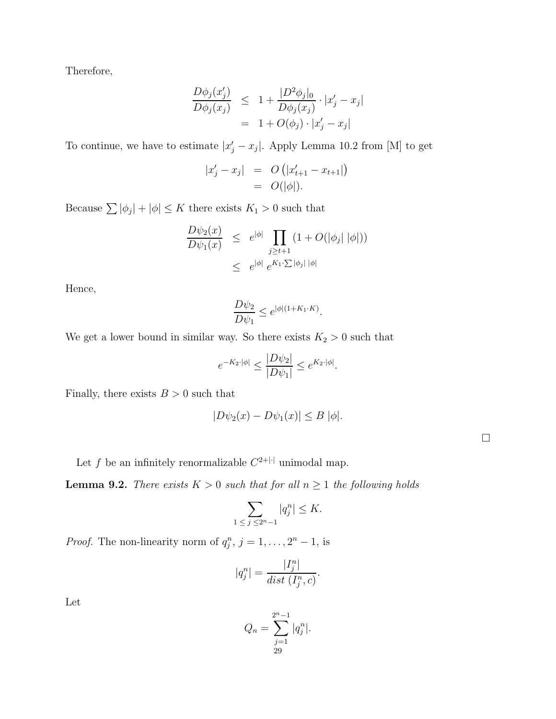Therefore,

$$
\frac{D\phi_j(x'_j)}{D\phi_j(x_j)} \leq 1 + \frac{|D^2\phi_j|_0}{D\phi_j(x_j)} \cdot |x'_j - x_j|
$$
  
= 1 + O(\phi\_j) \cdot |x'\_j - x\_j|

To continue, we have to estimate  $|x_j'-x_j|$ . Apply Lemma 10.2 from [M] to get

$$
\begin{array}{rcl} |x'_j - x_j| & = & O\left(|x'_{t+1} - x_{t+1}|\right) \\ & = & O(|\phi|). \end{array}
$$

Because  $\sum |\phi_j| + |\phi| \leq K$  there exists  $K_1 > 0$  such that

$$
\frac{D\psi_2(x)}{D\psi_1(x)} \leq e^{|\phi|} \prod_{j \geq t+1} (1 + O(|\phi_j| |\phi|))
$$
  

$$
\leq e^{|\phi|} e^{K_1 \cdot \sum |\phi_j| |\phi|}
$$

Hence,

$$
\frac{D\psi_2}{D\psi_1} \le e^{|\phi|(1+K_1\cdot K)}.
$$

We get a lower bound in similar way. So there exists  $K_2 > 0$  such that

$$
e^{-K_2 \cdot |\phi|} \le \frac{|D\psi_2|}{|D\psi_1|} \le e^{K_2 \cdot |\phi|}.
$$

Finally, there exists  $B > 0$  such that

$$
|D\psi_2(x) - D\psi_1(x)| \leq B |\phi|.
$$

Let f be an infinitely renormalizable  $C^{2+|\cdot|}$  unimodal map.

**Lemma 9.2.** There exists  $K > 0$  such that for all  $n \ge 1$  the following holds

$$
\sum_{1 \le j \le 2^n-1} |q_j^n| \le K.
$$

*Proof.* The non-linearity norm of  $q_j^n$ ,  $j = 1, ..., 2^n - 1$ , is

$$
|q_j^n| = \frac{|I_j^n|}{dist(I_j^n, c)}.
$$

Let

$$
Q_n = \sum_{\substack{j=1 \\ 29}}^{2^n - 1} |q_j^n|.
$$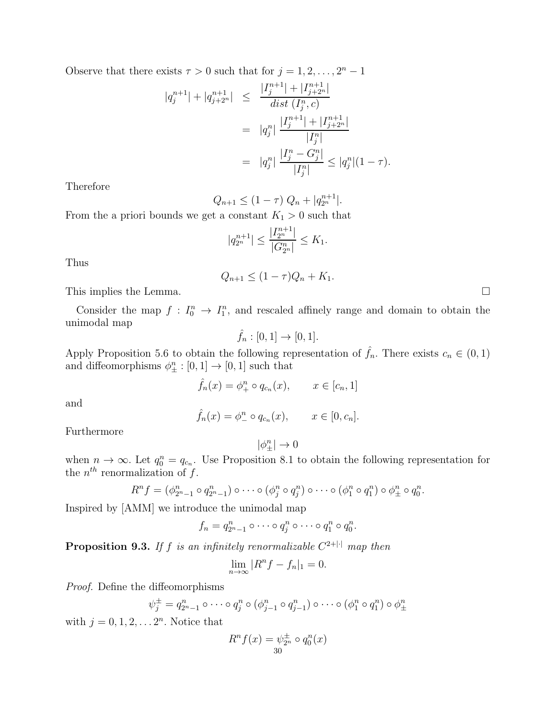Observe that there exists  $\tau > 0$  such that for  $j = 1, 2, ..., 2<sup>n</sup> - 1$ 

$$
|q_j^{n+1}| + |q_{j+2^n}^{n+1}| \le \frac{|I_j^{n+1}| + |I_{j+2^n}^{n+1}|}{dist(I_j^n, c)}
$$
  
= 
$$
|q_j^n| \frac{|I_j^{n+1}| + |I_{j+2^n}^{n+1}|}{|I_j^n|}
$$
  
= 
$$
|q_j^n| \frac{|I_j^n - G_j^n|}{|I_j^n|} \le |q_j^n|(1 - \tau).
$$

Therefore

$$
Q_{n+1} \le (1 - \tau) Q_n + |q_{2^n}^{n+1}|.
$$

From the a priori bounds we get a constant  $K_1 > 0$  such that

$$
|q_{2^n}^{n+1}|\leq \frac{|I_{2^n}^{n+1}|}{|G_{2^n}^n|}\leq K_1.
$$

Thus

$$
Q_{n+1} \le (1 - \tau)Q_n + K_1.
$$

This implies the Lemma.

Consider the map  $f: I_0^n \to I_1^n$ , and rescaled affinely range and domain to obtain the unimodal map

$$
\hat{f}_n : [0,1] \to [0,1].
$$

Apply Proposition 5.6 to obtain the following representation of  $\hat{f}_n$ . There exists  $c_n \in (0,1)$ and diffeomorphisms  $\phi_{\pm}^n : [0,1] \to [0,1]$  such that

$$
\hat{f}_n(x) = \phi_+^n \circ q_{c_n}(x), \qquad x \in [c_n, 1]
$$

and

$$
\hat{f}_n(x) = \phi_-^n \circ q_{c_n}(x), \qquad x \in [0, c_n].
$$

Furthermore

$$
|\phi_{\pm}^n|\to 0
$$

when  $n \to \infty$ . Let  $q_0^n = q_{c_n}$ . Use Proposition 8.1 to obtain the following representation for the  $n^{th}$  renormalization of f.

$$
R^n f = (\phi_{2^n-1}^n \circ q_{2^n-1}^n) \circ \cdots \circ (\phi_j^n \circ q_j^n) \circ \cdots \circ (\phi_1^n \circ q_1^n) \circ \phi_{\pm}^n \circ q_0^n.
$$

Inspired by [AMM] we introduce the unimodal map

$$
f_n = q_{2^n-1}^n \circ \cdots \circ q_j^n \circ \cdots \circ q_1^n \circ q_0^n.
$$

**Proposition 9.3.** If f is an infinitely renormalizable  $C^{2+|\cdot|}$  map then

$$
\lim_{n \to \infty} |R^n f - f_n|_1 = 0.
$$

Proof. Define the diffeomorphisms

$$
\psi_j^{\pm} = q_{2^n-1}^n \circ \cdots \circ q_j^n \circ (\phi_{j-1}^n \circ q_{j-1}^n) \circ \cdots \circ (\phi_1^n \circ q_1^n) \circ \phi_{\pm}^n
$$

with  $j = 0, 1, 2, \ldots 2^n$ . Notice that

$$
R^{n} f(x) = \psi_{2^{n}}^{\pm} \circ q_{0}^{n}(x)
$$
  
30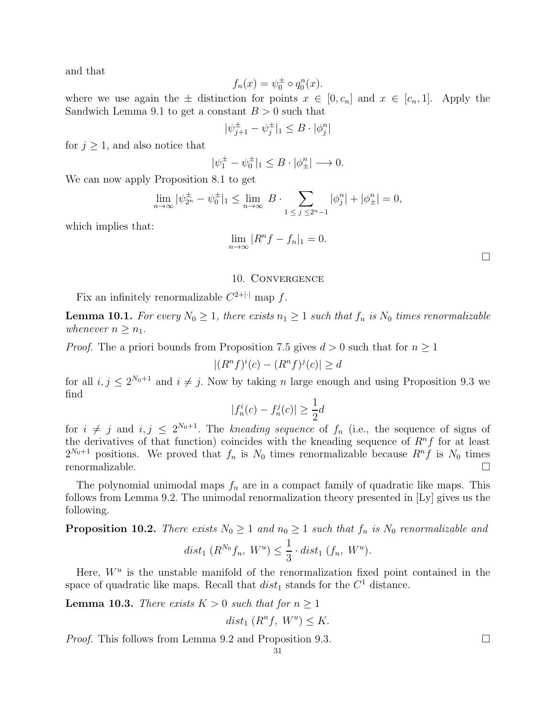and that

$$
f_n(x) = \psi_0^{\pm} \circ q_0^n(x).
$$

where we use again the  $\pm$  distinction for points  $x \in [0, c_n]$  and  $x \in [c_n, 1]$ . Apply the Sandwich Lemma 9.1 to get a constant  $B > 0$  such that

$$
|\psi_{j+1}^\pm - \psi_j^\pm|_1 \leq B \cdot |\phi_j^n|
$$

for  $j \geq 1$ , and also notice that

$$
|\psi_1^{\pm} - \psi_0^{\pm}|_1 \leq B \cdot |\phi_{\pm}^n| \longrightarrow 0.
$$

We can now apply Proposition 8.1 to get

$$
\lim_{n \to \infty} |\psi_{2^n}^{\pm} - \psi_0^{\pm}|_1 \le \lim_{n \to \infty} B \cdot \sum_{1 \le j \le 2^n - 1} |\phi_j^n| + |\phi_{\pm}^n| = 0,
$$

which implies that:

$$
\lim_{n \to \infty} |R^n f - f_n|_1 = 0.
$$

 $\Box$ 

#### 10. Convergence

Fix an infinitely renormalizable  $C^{2+|\cdot|}$  map f.

**Lemma 10.1.** For every  $N_0 \geq 1$ , there exists  $n_1 \geq 1$  such that  $f_n$  is  $N_0$  times renormalizable whenever  $n \geq n_1$ .

*Proof.* The a priori bounds from Proposition 7.5 gives  $d > 0$  such that for  $n \geq 1$ 

$$
|(Rnf)i(c) - (Rnf)j(c)| \ge d
$$

for all  $i, j \leq 2^{N_0+1}$  and  $i \neq j$ . Now by taking n large enough and using Proposition 9.3 we find

$$
|f_n^i(c) - f_n^j(c)| \ge \frac{1}{2}d
$$

for  $i \neq j$  and  $i, j \leq 2^{N_0+1}$ . The kneading sequence of  $f_n$  (i.e., the sequence of signs of the derivatives of that function) coincides with the kneading sequence of  $R<sup>n</sup>f$  for at least  $2^{N_0+1}$  positions. We proved that  $f_n$  is  $N_0$  times renormalizable because  $R^n f$  is  $N_0$  times renormalizable.

The polynomial unimodal maps  $f_n$  are in a compact family of quadratic like maps. This follows from Lemma 9.2. The unimodal renormalization theory presented in [Ly] gives us the following.

**Proposition 10.2.** There exists  $N_0 \geq 1$  and  $n_0 \geq 1$  such that  $f_n$  is  $N_0$  renormalizable and

$$
dist_1(R^{N_0}f_n, W^u) \leq \frac{1}{3} \cdot dist_1(f_n, W^u).
$$

Here,  $W^u$  is the unstable manifold of the renormalization fixed point contained in the space of quadratic like maps. Recall that  $dist_1$  stands for the  $C^1$  distance.

**Lemma 10.3.** There exists  $K > 0$  such that for  $n \geq 1$ 

$$
dist_1(R^n f, W^u) \le K.
$$

*Proof.* This follows from Lemma 9.2 and Proposition 9.3.  $\Box$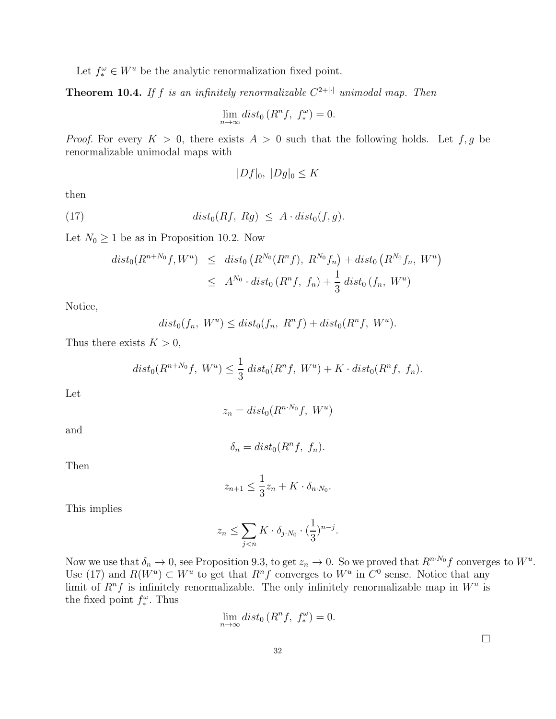Let  $f_*^{\omega} \in W^u$  be the analytic renormalization fixed point.

**Theorem 10.4.** If f is an infinitely renormalizable  $C^{2+|\cdot|}$  unimodal map. Then

$$
\lim_{n \to \infty} dist_0(R^n f, f_*^{\omega}) = 0.
$$

*Proof.* For every  $K > 0$ , there exists  $A > 0$  such that the following holds. Let f, g be renormalizable unimodal maps with

$$
|Df|_0, |Dg|_0 \le K
$$

then

(17) 
$$
dist_0(Rf, Rg) \leq A \cdot dist_0(f, g).
$$

Let  $N_0 \geq 1$  be as in Proposition 10.2. Now

$$
dist_0(R^{n+N_0}f, W^u) \leq dist_0(R^{N_0}(R^n f), R^{N_0}f_n) + dist_0(R^{N_0}f_n, W^u)
$$
  

$$
\leq A^{N_0} \cdot dist_0(R^n f, f_n) + \frac{1}{3} dist_0(f_n, W^u)
$$

Notice,

$$
dist_0(f_n, W^u) \leq dist_0(f_n, R^nf) + dist_0(R^nf, W^u).
$$

Thus there exists  $K > 0$ ,

$$
dist_0(R^{n+N_0}f, W^u) \le \frac{1}{3} dist_0(R^n f, W^u) + K \cdot dist_0(R^n f, f_n).
$$

Let

$$
z_n = dist_0(R^{n \cdot N_0}f, \ W^u)
$$

and

$$
\delta_n = dist_0(R^n f, f_n).
$$

Then

$$
z_{n+1} \le \frac{1}{3}z_n + K \cdot \delta_{n \cdot N_0}.
$$

This implies

$$
z_n \le \sum_{j < n} K \cdot \delta_{j \cdot N_0} \cdot \left(\frac{1}{3}\right)^{n-j}.
$$

Now we use that  $\delta_n \to 0$ , see Proposition 9.3, to get  $z_n \to 0$ . So we proved that  $R^{n \cdot N_0} f$  converges to  $W^u$ . Use (17) and  $R(W^u) \subset W^u$  to get that  $R^n f$  converges to  $W^u$  in  $C^0$  sense. Notice that any limit of  $R^n f$  is infinitely renormalizable. The only infinitely renormalizable map in  $W^u$  is the fixed point  $f_*^{\omega}$ . Thus

$$
\lim_{n \to \infty} dist_0(R^n f, f_*^{\omega}) = 0.
$$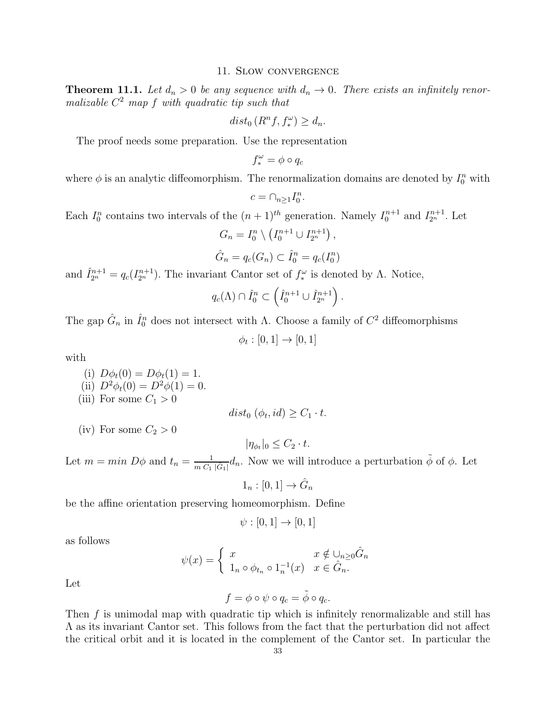### 11. Slow convergence

**Theorem 11.1.** Let  $d_n > 0$  be any sequence with  $d_n \to 0$ . There exists an infinitely renormalizable  $C^2$  map f with quadratic tip such that

$$
dist_0(R^n f, f_*^{\omega}) \ge d_n.
$$

The proof needs some preparation. Use the representation

$$
f_*^{\omega} = \phi \circ q_c
$$

where  $\phi$  is an analytic diffeomorphism. The renormalization domains are denoted by  $I_0^n$  with

$$
c=\cap_{n\geq 1}I_0^n.
$$

Each  $I_0^n$  contains two intervals of the  $(n+1)^{th}$  generation. Namely  $I_0^{n+1}$  and  $I_{2^n}^{n+1}$ . Let

$$
G_n = I_0^n \setminus \left( I_0^{n+1} \cup I_{2^n}^{n+1} \right),
$$

$$
\hat{G}_n = q_c(G_n) \subset \hat{I}_0^n = q_c(I_0^n)
$$

and  $\hat{I}_{2^n}^{n+1} = q_c(I_{2^n}^{n+1})$ . The invariant Cantor set of  $f_*^{\omega}$  is denoted by  $\Lambda$ . Notice,

$$
q_c(\Lambda) \cap \hat{I}_0^n \subset \left(\hat{I}_0^{n+1} \cup \hat{I}_{2^n}^{n+1}\right).
$$

The gap  $\hat{G}_n$  in  $\hat{I}_0^n$  does not intersect with  $\Lambda$ . Choose a family of  $C^2$  diffeomorphisms

 $\phi_t : [0,1] \to [0,1]$ 

with

- (i)  $D\phi_t(0) = D\phi_t(1) = 1$ . (ii)  $D^2\phi_t(0) = D^2\phi(1) = 0.$
- (iii) For some  $C_1 > 0$

$$
dist_0 \left( \phi_t, id \right) \ge C_1 \cdot t.
$$

(iv) For some  $C_2 > 0$ 

 $|\eta_{\phi_t}|_0 \leq C_2 \cdot t.$ 

Let  $m = min D\phi$  and  $t_n = \frac{1}{m G}$  $\frac{1}{m C_1 |\hat{G}_1|} d_n$ . Now we will introduce a perturbation  $\tilde{\phi}$  of  $\phi$ . Let

$$
1_n : [0,1] \to \hat{G}_n
$$

be the affine orientation preserving homeomorphism. Define

$$
\psi : [0,1] \to [0,1]
$$

as follows

$$
\psi(x) = \begin{cases} x & x \notin \bigcup_{n \ge 0} \hat{G}_n \\ 1_n \circ \phi_{t_n} \circ 1_n^{-1}(x) & x \in \hat{G}_n. \end{cases}
$$

Let

$$
f = \phi \circ \psi \circ q_c = \tilde{\phi} \circ q_c.
$$

Then  $f$  is unimodal map with quadratic tip which is infinitely renormalizable and still has  $\Lambda$  as its invariant Cantor set. This follows from the fact that the perturbation did not affect the critical orbit and it is located in the complement of the Cantor set. In particular the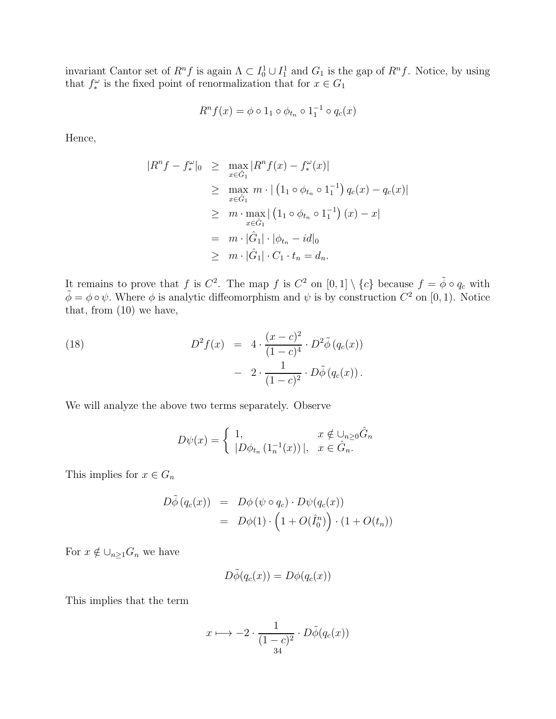invariant Cantor set of  $R^n f$  is again  $\Lambda \subset I_0^1 \cup I_1^1$  and  $G_1$  is the gap of  $R^n f$ . Notice, by using that  $f_*^{\omega}$  is the fixed point of renormalization that for  $x \in G_1$ 

$$
R^n f(x) = \phi \circ 1_1 \circ \phi_{t_n} \circ 1_1^{-1} \circ q_c(x)
$$

Hence,

$$
|R^{n} f - f_{*}^{\omega}|_{0} \geq \max_{x \in \hat{G}_{1}} |R^{n} f(x) - f_{*}^{\omega}(x)|
$$
  
\n
$$
\geq \max_{x \in \hat{G}_{1}} m \cdot | (1_{1} \circ \phi_{t_{n}} \circ 1_{1}^{-1}) q_{c}(x) - q_{c}(x)|
$$
  
\n
$$
\geq m \cdot \max_{x \in \hat{G}_{1}} | (1_{1} \circ \phi_{t_{n}} \circ 1_{1}^{-1}) (x) - x|
$$
  
\n
$$
= m \cdot |\hat{G}_{1}| \cdot |\phi_{t_{n}} - id|_{0}
$$
  
\n
$$
\geq m \cdot |\hat{G}_{1}| \cdot C_{1} \cdot t_{n} = d_{n}.
$$

It remains to prove that f is  $C^2$ . The map f is  $C^2$  on  $[0,1] \setminus \{c\}$  because  $f = \tilde{\phi} \circ q_c$  with  $\tilde{\phi} = \phi \circ \psi$ . Where  $\phi$  is analytic diffeomorphism and  $\psi$  is by construction  $C^2$  on [0, 1). Notice that, from (10) we have,

(18) 
$$
D^{2} f(x) = 4 \cdot \frac{(x-c)^{2}}{(1-c)^{4}} \cdot D^{2} \tilde{\phi} (q_{c}(x)) - 2 \cdot \frac{1}{(1-c)^{2}} \cdot D \tilde{\phi} (q_{c}(x)).
$$

We will analyze the above two terms separately. Observe

$$
D\psi(x) = \begin{cases} 1, & x \notin \bigcup_{n \ge 0} \hat{G}_n \\ |D\phi_{t_n} (1_n^{-1}(x))|, & x \in \hat{G}_n. \end{cases}
$$

This implies for  $x \in G_n$ 

$$
D\tilde{\phi}(q_c(x)) = D\phi(\psi \circ q_c) \cdot D\psi(q_c(x))
$$
  
=  $D\phi(1) \cdot (1 + O(\hat{I}_0^n)) \cdot (1 + O(t_n))$ 

For  $x \notin \bigcup_{n\geq 1} G_n$  we have

$$
D\tilde{\phi}(q_c(x)) = D\phi(q_c(x))
$$

This implies that the term

$$
x \longmapsto -2 \cdot \frac{1}{(1-c)^2} \cdot D\tilde{\phi}(q_c(x))
$$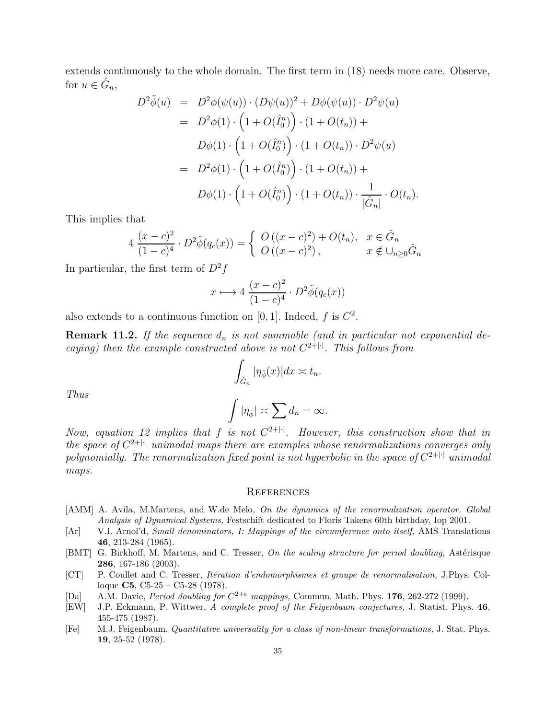extends continuously to the whole domain. The first term in (18) needs more care. Observe, for  $u \in \hat{G}_n$ ,

$$
D^{2} \tilde{\phi}(u) = D^{2} \phi(\psi(u)) \cdot (D\psi(u))^{2} + D\phi(\psi(u)) \cdot D^{2} \psi(u)
$$
  
\n
$$
= D^{2} \phi(1) \cdot \left(1 + O(\hat{I}_{0}^{n})\right) \cdot (1 + O(t_{n})) +
$$
  
\n
$$
D\phi(1) \cdot \left(1 + O(\hat{I}_{0}^{n})\right) \cdot (1 + O(t_{n})) \cdot D^{2} \psi(u)
$$
  
\n
$$
= D^{2} \phi(1) \cdot \left(1 + O(\hat{I}_{0}^{n})\right) \cdot (1 + O(t_{n})) +
$$
  
\n
$$
D\phi(1) \cdot \left(1 + O(\hat{I}_{0}^{n})\right) \cdot (1 + O(t_{n})) \cdot \frac{1}{|\hat{G}_{n}|} \cdot O(t_{n}).
$$

This implies that

$$
4\frac{(x-c)^2}{(1-c)^4} \cdot D^2 \tilde{\phi}(q_c(x)) = \begin{cases} O((x-c)^2) + O(t_n), & x \in \hat{G}_n \\ O((x-c)^2), & x \notin \cup_{n \ge 0} \hat{G}_n \end{cases}
$$

In particular, the first term of  $D^2f$ 

$$
x \longmapsto 4 \frac{(x-c)^2}{(1-c)^4} \cdot D^2 \tilde{\phi}(q_c(x))
$$

also extends to a continuous function on [0, 1]. Indeed, f is  $C^2$ .

**Remark 11.2.** If the sequence  $d_n$  is not summable (and in particular not exponential decaying) then the example constructed above is not  $C^{2+|\cdot|}$ . This follows from

$$
\int_{\hat{G}_n} |\eta_{\tilde{\phi}}(x)| dx \asymp t_n.
$$

Thus

$$
\int |\eta_{\tilde{\phi}}| \asymp \sum d_n = \infty.
$$

Now, equation 12 implies that f is not  $C^{2+|\cdot|}$ . However, this construction show that in the space of  $C^{2+|\cdot|}$  unimodal maps there are examples whose renormalizations converges only polynomially. The renormalization fixed point is not hyperbolic in the space of  $C^{2+|\cdot|}$  unimodal maps.

### **REFERENCES**

- [AMM] A. Avila, M.Martens, and W.de Melo, On the dynamics of the renormalization operator. Global Analysis of Dynamical Systems, Festschift dedicated to Floris Takens 60th birthday, Iop 2001.
- [Ar] V.I. Arnol'd, Small denominators, I: Mappings of the circumference onto itself, AMS Translations 46, 213-284 (1965).
- [BMT] G. Birkhoff, M. Martens, and C. Tresser, On the scaling structure for period doubling, Astérisque 286, 167-186 (2003).
- [CT] P. Coullet and C. Tresser, *Itération d'endomorphismes et groupe de renormalisation*, J.Phys. Colloque **C5**, C5-25 – C5-28 (1978).
- [Da] A.M. Davie, *Period doubling for*  $C^{2+\epsilon}$  *mappings*, Commun. Math. Phys. 176, 262-272 (1999).
- [EW] J.P. Eckmann, P. Wittwer, A complete proof of the Feigenbaum conjectures, J. Statist. Phys. 46, 455-475 (1987).
- [Fe] M.J. Feigenbaum. Quantitative universality for a class of non-linear transformations, J. Stat. Phys. 19, 25-52 (1978).